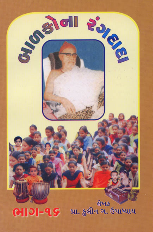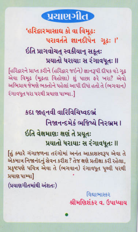

'હરિદ્વારમાસાઘ કો વા વિમુઢઃ પરાવર્તતે જ્ઞાનદીપેન ગઢઃ ।'

#### ઇતિ પ્રાગવોચત સ્વકીયાન સકતઃ પ્રયાતો ધરાયાઃ સ રંગાવધૂતઃ ॥

[હરિદ્વારને પ્રાપ્ત કરીને (હરિદ્વાર જઇને) જ્ઞાનરૂપી દીપક વડે ગુઢ એવા વિમુઢ (મુઢતા વિહોણા) શું પાછા કરે ખરા? એવો અભિપ્રાય જેમણે ભક્તોને પહેલાં આપી દીધો હતો તે (ભગવાન) રંગાવધુત ધરા પરથી પ્રયાણ પામ્યા.]

> કદા જાહનવી વારિવિચિષ્વદભ્રં નિજાનન્દમેકં ભજિષ્યે નિરભ્રમ I ઇતિ વેક્ષમાણ: ક્ષણ તે પ્રયુત: પ્રયાતો ધરાયાઃ સ રંગાવધુતઃ ॥

હિંક્યારે ગંગાજળના તરંગોમાં અનંત આકાશસ્વરૂપ એવા તે એકમાત્ર નિજાનંદનું સેવન કરીશ ? તેજ ક્ષણે પ્રતીક્ષા કરી રહેલા, પ્રકૃષ્ટપણે પવિત્ર એવા તે (ભગવાન) રંગાવધૂત પૃથ્વી પરથી પ્રયાણ પામ્યા] (પ્રયાણગીતમાંથી અંશતઃ)

> વિદ્યાભાસ્કર શ્રીમણિશંકર વ. ઉપાધ્યાય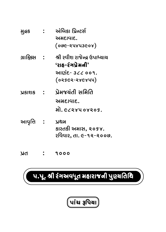

## પ.પૂ. શ્રી રંગઅવધૂત મહારાજની પુણ્યતિથિ

film : 1000 film : 1000<br>The 1000 film : 1000 film : 1000 film : 1000 film : 1000 film : 1000 film : 1000 film : 1000 film : 1000 film<br>The 1000 film : 1000 film : 1000 film : 1000 film : 1000 film : 1000 film : 1000 film :

| <u>USRIS : .</u> | प्रभारता सामात                                              |
|------------------|-------------------------------------------------------------|
|                  | અમદાવાદ.                                                    |
|                  | મો. ૯૮૨૪૫ ૦૪૨૦૬.                                            |
| આવૃત્તિ :        | <u>ଏଥ୍ୟ</u><br>કારતકી અમાસ, ૨૦૬૪.<br>રવિવાર, તા. ૯-૧૨-૨૦૦૭. |

 $600 - 21$  (079-25453904) ગ્રાફિક્સ : શ્રી રવીશ રાજેન્દ્ર ઉપાધ્યાય **'રાહ-રંગપ્રેમની'**<br>આણંદ- ૩૮૮ ૦૦૧.  $(0996 - 3861)$  $\sqrt{2}$ 

અંબિકા પ્રિન્ટર્સ

i⁄ સુદ્રક : અંબિકા પ્રિ<br>.અમદાવાદ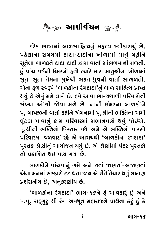

pO∑@xO IÛ∆ÛfiÛ√ µÛ¥YÛw˜'}…⁄√ fi˜b\_ Õ\_—xOÛ∑Û}⁄√ ©Â@. મુતેલા બાળકને દાદા-દાદી દ્વારા વાર્તા સાંભળવાની મળતી. &ં પાંચ વર્ષની ઉંમરનો હતો ત્યારે મારા માતુશ્રીના ખોળામાં ˜⁄√ fÛ√{ \_∆™…— &‡fi∑…Û@ ˜EÛ@ '}Û∑@ fiÛ∑Û fiÛE⁄C—…Û «Û@¥ÛfiÛ√ Y\EÛ Y\EÛ E@fi…Û fi⁄«@Z— IxOE A⁄V\_…— \_ÛEÛ™ YÛ√I¥EÛ@. એના ફળ સ્વરૂપે 'બાળકોના રંગદાદા'નું બાળ સાહિત્ય પ્રાપ્ત<br>થયું છે એવું મને લાગે છે. હવે આવા ભાગ્ચશાળી પરિવારોની  $\bm{a}$  and when we not be the solution of  $\bm{b}$ પૂ. બાપજીની વાતો કહીને એમનામાં પૂ.શ્રીની ભક્તિના અમી घूंटडा पापानुं डाम परिपारमां सलानपणे थपुं *भे*धએ. n\√ŸO¤OÛ fÛ\_Û…⁄√ xOÛfi fw∑\_Û∑fiÛ√ YIÛ…fo@ Z\_⁄√ @\$#@. f\.C—…— I»®E…Û@ w\_ÕEÛ∑ \_A@ #…@ #@ I»®E…Û@ \_Û∑YÛ@ પરિવારમાં જળવાઈ રહે એ આશચથી 'બાળકોના રંગદાદા<mark>'</mark><br>પુસ્તક શ્રેણીનું આચોજન થયું છે. એ શ્રેણીમાં પંદર પુસ્તકો તો પકાશિત થઈ પણ ગયા છે.

બાળકોને વાંચવાનું ગમે અને છતાં જાણતાં-અજાણતાં એના મનમાં સંસ્કારો દઢ થતા જાય એ રીતે તૈયાર થતું લખાણ પ્રશંસનીચ છે, અનુકરણીચ છે.

 $\frac{1}{2}$ **'**µÛ¥xOÛ@…Û ∑√"pOÛpOÛ**'** IÛ"-16…@ ˜÷√ #Û\_xOÛ∑⁄√ ©⁄Â√ #…@ પ.પૂ. સદ્ગુરૂ શ્રી રંગ અવધૂત મહારાજને પ્રાર્થના કરૂં છું કે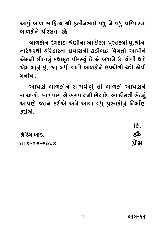આવું બાળ સાહિત્ચ શ્રી કુલીનભાઈ વધુ ને વધુ પરિવારના<br>બાળકોને પીરસતા રહે.

બાળકોના રંગદાદા શ્રેણીના આ છેલ્લા પુસ્તકમાં પૂ.શ્રીના નારેશ્વરથી હરિદ્વારના પ્રવાસની કડીબદ્ધ વિગતો આપીને .<br>એમની લીલાનું કથામૃત પીરસ્યું છે એ બધાને ઉપયોગી થશે<br>એમ માનું છું. આ બધી વાતો બાળકોને ઉપયોગી થશે એવી એમ માનું છું. આ બધી વાતો બાળકોને ઉપચોગી થશે એવી<br>મનીષા.

. આપણે બાળકોને સાચવીશું તો બાળકો આપણને<br>સાચવશે. બાળપણ એ ભગવાનની ભેટ છે. આ કીમતી ભેટનું આપણે જતન કરીએ અને આવા વધુ પુસ્તકોનું નિર્માણ<br>કગ્રેએ xO∑—#@.

|              | IG.   |
|--------------|-------|
| કોઠિયાખાડ,   | చం    |
| તા.૨-૧૨-૨૦૦૭ | ਪ੍ਰੇਮ |
|              |       |

 $\sim$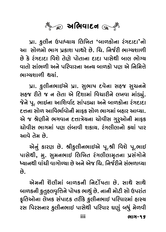

fVÛ. x⁄OË—… &fÛ◊}Û} wËw«E **'**µÛ¥xOÛ@…Û ∑√"pOÛpOÛ**'**…Û@ છે કે રંગદાદા વિશે તેણે પોતાના દાદા પાસેથી બાલ ભોગ્ય વાતો સાંભળી અને પરિવારના અન્ય બાળકો પણ એ નિમિત્તે  $\boldsymbol{\omega}$  . itse mode in

પ્રા. કુલીનભાઈએ પ્રા. સુભાષ દવેના સહજ સુચનને સહજ રીતે જ ન લેતા એ દિશામાં વિચારીને લખવા માંડ્યું. જેને પૂ. ભાઈના આશિર્વાદ સાંપડ્યા અને બાળકોના રંગદાદા દત્તના સોળ આવિર્ભાવોની માકક સોળ ભાગમાં બહાર આવ્યા. એ જ શ્રેણીને ભગવાન દત્તાત્રેચના ચોવીસ ગુરૂઓની માફક ચોવીસ ભાગમાં પણ લંબાવી શકાચ. રંગલીલાનો કચાં પાર આવે તેમ છે.

એનું કારણ છે. શ્રીકુલીનભાઈએ પૂ.શ્રી વિશે પૂ.ભાઈ પાસેથી, મુ. સુમનભાઈ લિખિત રંગલીલામૃતના પ્રસંગોને ઘ્યાનથી વાંચી વાગોળ્યા છે અને એજ ચિ. નિર્જરીને સંભળાવ્યા<br>હ

એમની શૈલીમાં બાળકની નિર્દોષતા છે. સાથે સાથે બાળકની કુતુહલવૃત્તિને પોષક ભાથું છે. નાની મોટી સો ઉપરાંત ફ્રતિઓના લેખક સંપાદક તરીકે કુલીનભાઈ પરિવારમાં હાસ્ચ xOÈwE#Û@…Û Ë@«xO Y√fÛpOxO E∑—x@O x⁄OË—…IÛ\$ fw∑\_Û∑fiÛ√ ˜ÛÕ} ∑Y wf∑Y…Û∑ x⁄OË—…IÛ\$ fÛY@Z— fw∑\_Û∑ no⁄√ µA⁄√ fi@¥\_—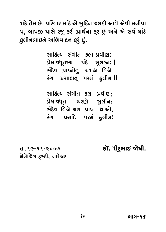શકે તેમ છે. પરિવાર માટે એ સુદિન જલદી આવે એવી મનીષા<br>પૂ. બાપજી પાસે રજૂ કરી પ્રાર્થના કર્ છું અને એ સર્વ માટે f\. µÛfu fÛY@ ∑Q\ xO∑— fVÛZ™…Û xO∑⁄ ©⁄Â√ #…@ #@ Y\_™ fiÛŸ@O  $\mathcal{L}^{\circ}$ 

> સાહિત્ય સંગીત કલા પવીણ: .<br>પ્રેમાવધૂતસ્ય પદે સુલગ્ન**:|**<br>સેદેવ પ્રાપ્નોતુ ચશશ્વ વિશ્વે  $\mathbf{S}$  of  $\mathbf{S}$  and  $\mathbf{S}$  $\sim$  for  $\sim$

સાહિત્ય સંગીત કલા પ્રવીણ: YÛw˜'} Y√"—E xOËÛ fV\_—o; fV@fiÛ\_A\E {∑o@ Y⁄Ë—…; ب<br>اµصلهء نددند ≨نبحند ندد  $\overline{z}$  find for  $\overline{z}$ 

તા.૧૯-૧૧-૨૦૦૭ **· િ. હોં. ધીરુભાઇ જોષી.**<br>મેનેજિંગ ટ્સ્ટી, નારેશ્વર  $\lambda$ <sup>\*</sup>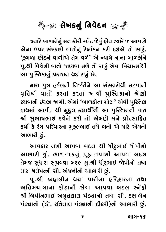

જયારે બાળકોનું મન કોરી સ્લેટ જેવું હોચ ત્યારે જ આપણે<br>એના ઉપર સંસ્કારી વાતોનું રેખાંકન કરી દઈએ તો સારું. .<br>وي الله الكركبي الكركبي يوم الله المركبي المركبي المركبي المركبي بين الله المركبي.<br>الفراد المركبي المركبي المركبي بين المركبي بين المركبي بين الله بين الله بين الله بين الله بين الله بين الله بي<br>المركبي الله الله الله પૂ.શ્રી વિશેની વાતો જાણવા મળે તો સારું એવા વિચારમાંથી<br>આ પુસ્તિકાનું પ્રકાશન થઈ રહ્યું છે.

મારા પુત્ર હર્ષલની નિર્જરીને આ સંસ્કારોથી મઢવાની <u>વૃત્તિથી વાતો કરતાં કરતાં આવી પુસ્તિકાની શ્રેણી</u> \_<br>૨ચવાની ઇચ્છા જાગી. એમાં 'બાળકોના મોટા' એવી પુસ્તિકા<br>હાથમાં આવી. શ્રી મકલ કલાશીંની આ પસ્તિકાની વાત હાથમાં આવી. શ્રી મુકુલ કલાર્થીની આ પુસ્તિકાની વાત<br>શ્રી સુભાષભાઈ દવેને કરી તો એમણે મને પ્રોત્સાહિત કર્યો કે રંગ પરિવારના મુકુલભાઈ તમે બનો એ માટે એમનો આભારી છું.

 $\ddot{\mathcal{O}}$ આવકાર લખી આપવા બદલ શ્રી ધીરુભાઈ જોષીનો<br>મારી છું. ભાગ-૧૬નું પક તપાસી આપવા લદલ ા<br>તેમજ સુધારા સૂચવવા બદલ મુ.શ્રી ધીરુભાઈ જોષીનો તથા<br>મારા ધર્મપત્ની સો. અંજનીનો આભાગી છં

મારા ધર્મપત્ની સોે. અંજનીનો આભારી છું.<br>પૂ.શ્રી બ્રહ્મલીન થયા પછીના હરિદ્વારના તથા અતિંમચાત્રાના ફોટાની સેવા આપવા બદલ સ્નેહી શ્રી બિપીનભાઈ અમૃતલાલ પંડ્યાનો તથા સોે. દક્ષાબેન પંડ્યાનો (ડૉ. રતિલાલ પંડ્યાની દીકરી)નો આભારી છું.  $\sqrt{2}$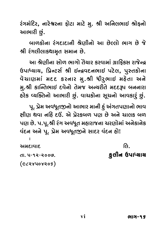રંગમંદિર, નારેશ્વરના ફોટા માટે મુ. શ્રી અનિલભાઈ શ્રોફનો<br>આભારી છું.

<u>બાળકોના રંગદાદાની શ્રેણીનો આ છેલ્લો ભાગ છે જે</u>  $\tilde{\omega}$  where Prinasipology

 $\sum_{i=1}^{n}$ .<br>હિમાધ્યાય, પ્રિન્ટર્સ શ્રી ઈન્દ્રવદનભાઈ પટેલ, પુસ્તકોના<br>હિંગાણમાં મદદ કરતાર મ શ્રી ધીરભાઈ મહેતા અને વેચાણમાં મદદ કરનાર મુ.શ્રી ધીરુભાઈ મહેતા અને<br>મુ.શ્રી કાન્તિભાઈ દવેનો તેમજ અન્યરીતે મદદરૂપ બનનારા i⁄.<br>Z— xONGU >hUMIQI & UIDIBJ<sup>u</sup>I ziDIBI >hICIBI2 &<br>Z  $\frac{3}{\pi}$ 

y. પ્રેમ અવધૂતજીનો આભાર માની હું અંગતપણાનો ભાવ<br>ટીણ થવા નહિ દઉં. એ પ્રેરકબળ પણ છે અને ચાલક બળ .<br>પણ છે. પ.પૂ.શ્રી રંગ અવધૂત મહારાજના ચરણોમાં અનેકાનેક<br>વંદન અને ૫. પેમ અવધતજને સાદર વંદન હો! .<br>વંદન અને પૂ. પ્રેમ અવધૂતજીને સાદર વંદન હો!

અમદાવાદ

 $\frac{1}{2}$ EÛ. 5-12-2007. x⁄OË—… &fÛ x⁄OË—… &fÛ◊}Û}  $\sqrt{9}$ 

તિ.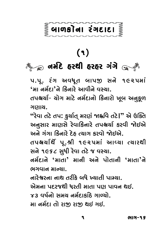## $\frac{2}{3}$  બાળકોના રંગદાદા

## ۹)<br>ﷺ <sub>۞</sub> जर्भेंट हरथी हरहर अंगे ﷺ  $\frac{1}{2}$   $\frac{1}{2}$   $\frac{1}{2}$   $\frac{1}{2}$   $\frac{1}{2}$   $\frac{1}{2}$   $\frac{1}{2}$   $\frac{1}{2}$   $\frac{1}{2}$   $\frac{1}{2}$

પ.પૂ. ૨ંગ અવધૂત બાપજી સને ૧૯૨૫માં<br>'માૂ નર્મદા'ને કિનારે આવીને વસ્ત્રા **'**fiÛ …fi™pOÛ**'**…@ wxO…Û∑@ #Û\_—…@ \_Õ}Û.

તપશ્ચર્યા- યોગ માટે નર્મદાનો કિનારો ખૂબ અનુકૂળ<br>ગણાય.

''રેવા તટે તપ**:** કુર્યાત્ મરણં જાહ્નવિ તટે**।**'' એ ઉક્તિ અનુસાર માણસે રેવાકિનારે તપશ્ચર્યા કરવી જોઈએ અને ગંગા કિનારે દેહ ત્યાગ કરવો જોઈએ.

તપશ્ચર્યાર્થે પૂ.શ્રી ૧૯૨૫માં આવ્યા ત્યારથી .<br>સને ૧૯૬૮ સુધી રેવા તટે જ વસ્ચા.<br>નર્મદાને 'માતા' માની અને પોતાની 'માતા'ને

નર્મદાને 'માતા' માની અને પોતાની 'માતા'ને<br>ભગવાનમાન્યા.

નારેશ્વરના નાથ તરીકે બધે ખ્યાતી પામ્યા.<br>એમના પદરજશી ધરતી માતા પણ પાલન એમના પદરજથી ધરતી માતા પણ પાવન થઈ.<br>૪૩ વર્ષનો સમય નર્મદાકાંઠે ગાળ્યો મા નર્મદા તો રાજી રાજી થઈ ગઈ.  $f(x) = \sum_{i=1}^{n} f(x_i)$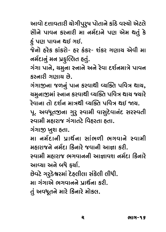આવો દત્તાવતારી ચોગીપુરુષ પોતાને કાંઠે વસ્ચો એટલે<br>સૌને પાવન કરનારી મા નર્મદાને પણ એમ થતું કે @ પણ પાવન થઈ ગઈ.

જેનો હરેક કાંકરો- હર કંકર- શંકર ગણાય એવી મા નર્મદાનું મન પ્રકૃલ્લિત હતું.

ુ<br>આંગા પાર્નુ ઘમના સ્નાને ર "√"Û fÛ…@, }fi⁄…Û Õ…Û…@ #…@ ∑@\_Û pOB™…fiÛL@ fÛ\_…

ગંગાજીના જળનું પાન કરવાથી વ્યક્તિ પવિત્ર થાય, ચમુનાજીમાં સ્નાન કરવાથી વ્યક્તિ પવિત્ર થાચ જ્યારે <u>રેવાના તો દર્શન માત્રથી વ્યક્તિ પવિત્ર થઈ જાય.</u>

પૂ. અવધૂતજીના ગુરુ સ્વામી વાસુદેવાનંદ સરસ્વતી<br>સ્વામી મહારાજ ગંગાતરે વિકરતા કતા

<u>ગંગાજી ખુશ હતા.</u>

મા નર્મદાની પ્રાર્થના સાંભળી ભગવાને સ્વામી મઠારાજને નર્મદા કિનારે જવાની આજ્ઞા કરી.

સ્વામી મહારાજ ભગવાનની આજ્ઞાવશ નર્મદા કિનારે Õ\_Ûfi— fi˜Û∑ÛQÂ I"\_Û……— #ÛGÛ\_B …fi™pOÛ wxO…Û∑@ #Û[}Û #…@ µA@ l}Û™.

છેવટે ગરુડેશ્વરમાં દેહલીલા સંકેલી લીધી.<br>મા ગંગાએ ભગવાનને પ્રાર્થના કરી.

fiÛ "√"Û#@ I"\_Û……@ fVÛZ™…Û xO∑—. E⁄√ #\_A\E…@ fiÛ∑@ wxO…Û∑@ fiÛ@xOË.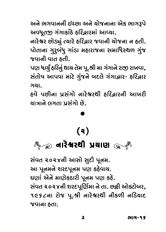.<br>અવધૂતજી ગંગાકાંઠે હરિદ્વારમાં આવ્યા.<br>આર્ગેશ્વર છોડ્યાં ત્યારે ઠરિહાર જવાની ગોજના ન ઠતી

…Û∑@U∑ ©ÂÛ@g⁄√ '}Û∑@ ˜w∑›Û∑ QÂ\_Û…— }Û@QÂ…Û … ˜E—. fÛ@EÛ…Û "⁄∑⁄µ√A⁄ "Û√¤OÛ fi˜Û∑ÛQÂ…Û YfiÛwAÕZ¥ "⁄√QÂ

.<br>પણ ધાર્ચું હરિનું થાચ તેમ પૂ.શ્રી મા ગંગાને રાજી રાખવા,<br>સંતોષ આપવા માટે ગંજને બદલે ગંગા નાર- ઠકિનાર સંતોષ આપવા માટે ગુંજને બદલે ગંગાદ્વાર- હરિદ્વાર<br>ગચા.

હવે પછીના પ્રસંગો નારેશ્વરથી હરિદ્વારની આખરી <u>ચાત્રાને લગતા પસંગો છે.</u> }ÛLÛ…@ Ë"EÛ fVY√"Û@ ©Â@.

### $\left( \infty \right)$  $\frac{1}{2}$ …Û∑@U∑Z— fV}Ûo

સંવત ૨૦૨૪ની આસો સુદી પૂનમ.<br>આ પૂનમને શરદપૂનમ પણ કહેવાય. ઘણાં એને માણેકઠારી પૂનમ પણ કહે. સંવત ૨૦૨૪ની શરદપૂર્ણિમા ને તા. છજી ઓકટોબર, Y√\_E 2024…— B∑pOf\wo™fiÛ …@ EÛ. ©ÂyO— #Û@®ŸOÛ@µ∑, nde û û ∑ware û û û û û wedî.<br>Godine QÂ\_Û…Û ˜EÛ.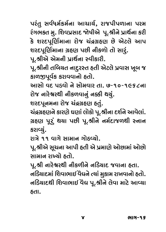પરંતુ સર્વધર્મકર્મના આચાર્ચ, રાજપીપળાના પરમ<br>રંગભકત મૃ. શિવપ્રસાદ જોષીએ પૂ.શ્રીને પ્રાર્થના કરી કે શરદપૂર્ણિમાના રોજ ચંદ્રગ્રહણ છે એટલે આપ શરદપૂર્ણિમાના ગ્રહણ પછી નીકળો તો સારૂં.

પૂ.શ્રીએ એમની પ્રાર્થના સ્વીકારી.

પૂ.શ્રીની તબિચત નાદુરસ્ત હતી એટલે પ્રવાસ ખૂબ જ કાળજીપૂર્વક કરાવવાનો હતો.

આસો વદ પડવો ને સોમવાર તા. ૭-૧૦-૧૯૬૮ના રોજ નારેશ્વરથી નીકળવાનું નક્કી થયું.

શરદપૂનમના રોજ ચંદ્રગ્રહણ હતું.

ચંદ્રગ્રહણને કારણે ઘણાં લોકો પૂ.શ્રીના દર્શને આવેલાં. গ্ৰচ্ছা પૂર્યું થયા પછી પૂ.શ્રીને નર્મદાજળથી સ્નાન "V˜o f\∑Â⁄√ Z}Û f©Â— f\.C—…@ …fi™pOÛQÂ¥Z— Õ…Û… કરાવ્યું.<br>રાત્રે ૧૧ વાગે સામાન ગોઠવ્યો.

પૂ.શ્રીએ સૂચના આપી હતી એ પ્રમાણે ઓછામાં ઓછો <u>સામાન રાખ્યો હતો.</u>

પૂ.શ્રી નારેશ્વરથી નીકળીને નડિચાદ જવાના હતા. નડિચાદમાં શિવાભાઈ વેદ્યને ત્યાં મુકામ રાખવાનો હતો. યાદગાદ થી છેોળોઓ પર જાળવી છે. આ આ જેમાં આવેલા જેમાં આવેલા જેમાં આવેલા આ જેમાં આવેલા આ જેમાં આવેલા આ જેમાં જેમા<br>આ જેમાં આ જેમાં જેમાં જેમાં જેમાં આ જેમાં આ જેમાં જેમાં જેમાં જેમાં જેમાં જેમાં જેમાં જેમાં જેમાં જેમાં જેમાં  $\sim$   $\sim$ ˜EÛ.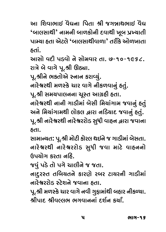આ શિવાભાઈ વૈદ્યના પિતા શ્રી જગન્નાથભાઈ વૈદ્ય ,ભાલસાથી, <sup>વામુ</sup>થી ભાત્રકોથી દત્તાજ્ઞી ખૂંબ ત્રખ્ત્રાવી<br>તેમકાર હવા એડવું ,ભાલસાંશીવાળા, પગુક આળખાવા પામ્ચા હતા એટલે 'બાલસાથીવાળા' તરીકે ઓળખાતા<br>હતાં.

આસો વદી પડવો ને સોમવાર તા. ૭-૧૦-૧૯૬૮. રાત્રે બે વાગે પૂ.શ્રી ઊઠ્યા.

પૂ.શ્રીને ભકતોએ સ્નાન કરાવ્યું.

નારેશ્વરથી મળસ્કે ચાર વાગે નીકળવાનું હતું.

પૂ.શ્રી સમયપાલનના ચૂસ્ત આગ્રહી હતા.

નારેશ્વરથી નાની ગાડીમાં બેસી મિચાંગામ જવાનું હતું અને મિચાંગામથી લોકલ દ્વારા નડિયાદ જવાનું હતું. પૂ.શ્રી નારેશ્વરથી નારેશ્વરરોડ સુધી વાહન દ્વારા જવાના<br>હતા

સામાન્ચત: પૂ.શ્રી મોટી કોરલ થઈને જ ગાડીમાં બેસતા. ્<br>નારેશ્વરથી નારેશ્વરરોડ સુધી જવા માટે વાહનનો<br><sup>લિપગોગ ફરતા નકિ</sup>

જવું પડે તો પગે ચાલીને જ જતા.

નાદુરસ્ત તબિચતને કારણે રબર ટાચરની ગાડીમાં <u>નારેશ્વરરોડ સ્ટેશને જવાના હતા.</u>

પૂ.શ્રી મળસ્કે ચાર વાગે નવી ગુફામાંથી બહાર નીકળ્યા. <u>શ્રીપાદ શ્રીવલ્લભ ભગવાનનાં દર્શન કર્યાં.</u> C—fÛpO C—\_ºËI I"\_Û……Û√ pOB™… xO}Ûq.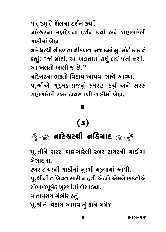માતૃસ્મૃતિ શૈલના દર્શન કર્યાં.<br>નારેશ્વરના મહાદેવના દર્શન કર્યા અને શાગગારેલી ાાડીમાં બેઠા

નારેશ્વરથી નીકળતા નીકળતા મજાકમાં મુ. મોદીકાકાને .<br>કહ્યું: "જો મોદી, આ ખલતામાં કશું લઈ જતો નથી.<br>આ ખલતો ખાલી જ છે " આ ખલતો ખાલી જ છે."<br>નારેશ્વરના ભકતો વિદાચ આપવા સાથે આવ્યા.

પૂ.શ્રીએ ગુરૂમહારાજનું સ્મરણ કર્યું અને સરસ <u>શાગગારેલી રબર ટાચરવાળી ગાડીમાં બેઠા.</u> Bo"Û∑@Ë— ∑µ∑ ŸOÛ}∑\_Û¥— "Û¤O—fiÛ√ µ@sOÛ.

## $(3)$  $\frac{1}{2}$

…Û∑@U∑Z— …w¤O}ÛpO …Û∑@U∑Z— …w¤O}ÛpO …Û∑@U∑Z— …w¤O}ÛpO પૂ.શ્રીને સરસ શણગારેલી રબર ટાચરની ગાડીમાં<br>બેસાડ્યા

૨બર ટાચરની ગાડીમાં ખુરશી મૂકવામાં આવી.

પૂ.શ્રીની તબિચત સારી ન હતી એટલે એમને ભક્તોએ સંભાળપૂર્વક ખુરશીમાં બેસાડ્યા.

વાતાવરણ ગંભીર હતું.

\_ÛEÛ\_∑o "√I—∑ ˜E⁄√. f\.C—…@ w\_pOÛ} #Ûf\_Û…⁄√ xOÛ@…@ "fi@?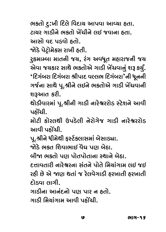ભક્તો દુ:ખી દિલે વિદાચ આપવા આવ્યા હતા.<br>ટાચર ગાડીને ભક્તો ખેંચીને લઈ જવાના હતા. આસો વદ પડવો હતો.

જોડે પેટ્રોમેક્સ રાખી હતી.

્ર<br>ટુકમામ્બા માતની જચ, રંગ અવધૂત મહારાજની જચ<br>એવા જગકાર સાશે ભક્તોએ ગાડી ખેંગવાનું શરૂ કર્યં .<br>'દિગંબરા દિગંબરા શ્રીપાદ વલ્લભ દિગંબરા'ની ધૂનની<br>'જિના સાથે પા શ્રીતે લુકલ્ને ભક્તોએ ગાડી પેરાવાની ગર્જના સાથે પૂ.શ્રીને લઈને ભક્તોએ ગાડી ખેંચવાની<br>શરૂઆત કરી.

ور<br>Bil durani y  $\sum_{\lambda}^{\infty}$ ນລ້ວມີ

મોટી ફોરલથી ઉપડેલી નેરોગેજ ગાડી નારેશ્વરરોડ આવી પઠોંચી.

્ર<br>પૂ.શ્રીને ધીમેથી ફર્સ્ટકલાસમાં બેસાડ્યા.<br>જોડે ભક્ત ઊવાભાઈ યેદ્ય પણ બેઠા

બીજા ભકતો પણ પોતપોતાના સ્થાને બેઠા.

હૃત્તાવતારી નારેશ્વરના સંતને પોતે નિચાંગામ લઈ જઈ રહી છે એ જાણ થતાં જ રેલવેગાડી હરખાતી હરખાતી  $\epsilon$ ોડવા લાગી.

ગાડીના આનંદનો પણ પાર ન હતો.

ગાડી મિચાંગામ આવી પઠોંચી. "Û¤O— wfi}Û√"Ûfi #Û\_— f˜Û@>{—.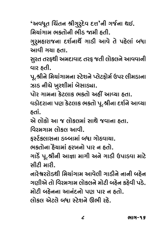'અવધૂત ચિંતન શ્રીગુરુદેવ દત્ત'ની ગર્જના થઇ.<br><sup>મિચાંગામ ભક્તોની ભીડ જામી ઠતી</sup>

wfi}Û√"Ûfi I®EÛ@…— I—¤O fi— ˜E—. "⁄∑⁄fi˜Û∑ÛQÂ…Û pOB™…ÛZ@™ "Û¤O— #Û\_@ E@ f˜@ËÛ√ µAÛ

સુરત તરફથી અમદાવાદ તરફ જતી લોકલને આવવાની વાર હતી.

પૂ.શ્રીને મિચાંગામના સ્ટેશને પ્લેટફોર્મ ઉપર લીમડાના  $\,$ ઝાડ નીચે ખુરશીમાં બેસાડ્યા.

પોર ગામના કેટલાક ભકતો અહીં આવ્યા હતા.

વડોદરાના પણ કેટલાક ભકતો પૂ.શ્રીના દર્શને આવ્યા  $_{\circ}$ 

એ લોકો આ જ લોકલમાં સાથે જવાના હતા.

વિરમગામ લોકલ આવી.

w\_∑fi"Ûfi ËÛ@xOË #Û\_—. lÕŸ™O®ËÛY…Û ¤OϵÛfiÛ√ µAÛ "Û@sO\_Û}Û.

ा<br>|<br>| ان نور اللہ اللہ عليہ اللہ عليہ اللہ عليہ اللہ عليہ اللہ عليہ اللہ عليہ اللہ عليہ اللہ عليہ اللہ عليہ اللہ  $\mathcal{A}$ ો કોઈ જિલ્લાના  $\mathcal{A}$ 

નારેશ્વરરોડથી મિચાંગામ આવેલી ગાડીને નાની બઠેન ગાગીએ તો વિરમગામ લોકલને મોટી બહેન કહેવી પડે. મોટી બહેનના આનંદનો પણ પાર ન હતો. fiÛ@ŸO— µ˜@……Û #Û…√pO…Û@ fo fÛ∑ … ˜EÛ@. ËÛ@xOË #@ŸOË@ µAÛ ÕŸ@OB…@ ≥I— ∑˜@.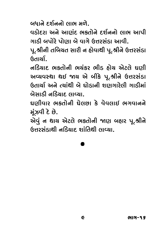બંધાને દર્શનનો લાભ મળે.<br>વડોદરા અને આાર્ગદ ભક્તોને દર્શનનો લાભ આપી ગાડી બપોરે પોણા બે વાગે ઉત્તરસંડા આવી.

 $\mathbf{u} = \mathbf{u} \cdot \mathbf{v}$  ,  $\mathbf{v} = \mathbf{v} \cdot \mathbf{v}$  ,  $\mathbf{v} = \mathbf{v} \cdot \mathbf{v}$  $\,\hat{C}$ <br>Gau $\Omega$ 

નડિયાદ ભકતોની ભચંકર ભીડ ઠોચ એટલે ઘણી અવ્યવસ્થા થઇ જાય એ બીકે પૂ.શ્રીને ઉત્તરસંડા હિતાર્ચા અને ત્યાંથી બે ઘોડાની શાગગારેલી ગાડીમાં <u>બેસાડી નડિયાદ લાવ્યા.</u>

ઘાગીવાર ભકતોની ઘેલછા કે વેવલાઈ ભગવાનને મુંઝવી દે છે.

એવું ન થાય એટલે ભક્તોની જાણ બહાર પૂ.શ્રીને <u>ઉત્તરસંડાથી નડિચાદ શાંતિથી લાવ્યા.</u> &˙∑Y√¤OÛZ— …w¤O}ÛpO BÛ√wEZ— ËÛ[}Û.

# .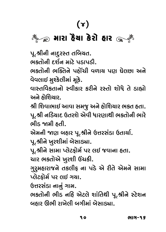## \*\* তেওঁ ।<br>কিন্তু সাত্ৰা ষ্টি চাং ক্ষেত্ৰী।<br>কিন্তু সাত্ৰা ষ্টি চাং ক্ষেত্ৰী। fiÛ∑Û ˜≠}Û x@O∑Û@ ˜Û∑ fiÛ∑Û ˜≠}Û x@O∑Û@

પૂ.શ્રીની નાદુરસ્ત તબિચત.<br>ભક્તોની દર્શન માટે પડાપડી.

ભકતોની ભક્તિને પહોંચી વળાચ પણ ઘેલછા અને વેવલાઈ મુશ્કેલીમાં મૂકે.

\_@\_ËÛ\$ fi⁄‹x@OË—fiÛ√ fi\x@O. \_ÛÕEw\_xOEÛ…Û@ Õ\_—xOÛ∑ xO∑—…@ ∑ÕEÛ@ BÛ@A@ E@ ¤OÛ·Û@

શ્રી શિવાભાઈ આવા સમજૂ અને હોશિચાર ભક્ત હતા. પૂ.શ્રી નડિયાદ ઉતરશે એવી ધારણાથી ભકતોની ભારે<br>ભીડ જામી કૂતી

એમની જાણ બહાર પૂ.શ્રીને ઉત્તરસંડા ઉતાર્યા.

પૂ.શ્રીને ખુરશીમાં બેસાડ્યા.

પૂ.શ્રીને સામા પ્લેટફોર્મ પર લઈ જવાના હતા.

ચાર ભકતોએ ખુરશી ઉંચકી.

ગુરૂમહારાજને તકલીફ ના પડે એ રીતે એમને સામા પ્લેટફોર્મ પર લઈ ગયા.

ઉત્તરસંડા નાનું ગામ.

ભકતોની ભીડ નહિ એટલે શાંતિથી પૂ.શ્રીને સ્ટેશન બહાર ઊભી રાખેલી બગીમાં બેસાડ્યા. µ˜Û∑ ≥I— ∑Û«@Ë— µ"—fiÛ√ µ@YÛgÛ.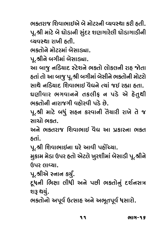ભક્તરાજ શિવાભાઈએ બે મોટરની વ્યવસ્થા કરી હતી. પૂ.શ્રી માટે બે ઘોડાની સુંદર શણગારેલી ઘોડાગાડીની  $\epsilon$  fibe negative

ભકતોને મોટરમાં બેસાડ્યા.

પૂ.શ્રીને બગીમાં બેસાડ્યા.

આ બાજુ નડિયાદ સ્ટેશને ભકતો લોકલની રાહ જોતા હતાં તો આ બાજુ પૂ.શ્રી બગીમાં બેસીને ભક્તોની મોટરો સાથે નડિયાદ શિવાભાઈ વેદ્યને ત્યાં જઈ રહ્યા હતા. ઘણીવાર ભગવાનને તકલીફ ન પડે એ હેતુથી ભકતોની નારાજગી વહોરવી પડે છે.

પૂ.શ્રી માટે બધું સહન કરવાની તૈયારી રાખે તે જ<br>સાગો બક્ત

અને ભકતરાજ શિવાભાઈ વૈદ્ય આ પ્રકારના ભકત #…@ I®E∑ÛQÂ wB\_ÛIÛ\$ \_≠Ú #Û fVxOÛ∑…Û I®E

પૂ.શ્રી શિવાભાઈના ઘરે આવી પહોંચ્યા.

મુકામ મેડા ઉપર હતો એટલે ખુરશીમાં બેસાડી પૂ.શ્રીને fau? લાવ્યા

પૂ.શ્રીએ સ્નાન કર્યું.

્ર<br>દૂધની ભિક્ષા લીધી અને પછી ભક્તોનું દર્શનસત્ર<br>શરૂ શરૂં

, `<br>ભકતોનો અપૂર્વ ઉત્સાહ અને અભૂતપૂર્વ ધસારો.<br>-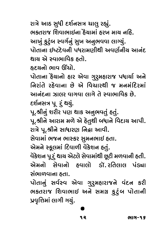રાત્રે આઠ સુધી દર્શનસત્ર ચાલુ રહ્યું.<br>ભક્તરાજ શિવાભાઈના ઠૈચામાં ઠરખ માચ નઠિ. આખું કુટુંબ સ્વર્ગનું સુખ અનુભવવા લાગ્યું. ્ર્ર<sub>્</sup>ડ ડડ<br>પોતાના ઈષ્ટદેવની પધરામણીથી અવર્ણનીચ આનંદ<br>શાચ એ સ્વાભાવિક કતો</sub>

હૃદચનો ભાવ ઊંચો.

—<br>પોતાના ઠેયાનો હાર એવા ગુરુમહારાજ પધાર્યા અને<br>નિગંતે રહેવાના છે એ વિચારશી જ મનમંદિરમાં આનંદના ઝાલર વાગવા લાગે તે સ્વાભાવિક છે. દર્શનસત્ર પૂ\_રૂં થયું.

પૂ.શ્રીનું શરીર પણ થાક અનુભવતું હતું.

્ર<br>પૂ.શ્રીને આરામ મળે એ દેતુથી બધાને વિદાચ આપી.<br>ગૂગે ૫ શ્રીને સાધાગગ નિહા આવી રાત્રે પૂ.શ્રીને સાધારણ નિદ્રા આવી.<br>સેવામાં ભજન ભાસ્કર સુમનભાઈ હતા.

એમને સ્કૂલમાં દિવાળી વેકેશન હતું.

વેકેશન પૂર્ં થાય એટલે સેવામાંથી છૂટી મળવાની હતી. .<br>એમનો સેવાનો હવાલો ડૉ.રતિલાલ પંડ્યા સંભાળવાના હતા.

પોતાનું સર્વસ્વ એવા ગુરૂમહારાજને વંદન કરી  $\frac{1}{2}$  bididic ya wara isayi waliong waxa ayaan ayaan ahaan  $\frac{2}{2}$  $\Omega$   $\mathcal{S}^{\infty}$  we have the found  $\mathcal{S}^{\infty}$ પ્રવૃત્તિમાં લાગી ગયું.

#### 611 - 9 12 Iû - 12 Iûle - 12 Iûle - 12 Iûle - 12 Iûle - 12 Iûle - 12 Iûle - 12 Iûle - 12 Iûle - 12 Iûle - 12 Iûle - 12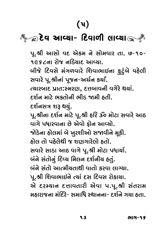## (૫)<br>∛⊱્ર©દેવ આવ્યા- દિવાળી લાવ્યા<sub></sub>્ર∛ p@O\_ #Û[}Û- wpO\_Û¥— ËÛ[}Û #Û[}Û- wpO\_Û¥— p@O\_

પૂ.શ્રી આસો વદ એકમ ને સોમવાર તા. ૭-૧૦-<br>૧૯૬૮ના રોજ નડિયાદ આવ્યા. બીજે દિવસે મંગળવારે શિવાભાઈના ફુટુંબે વહેલી સવારે પૂ.શ્રીનાં પૂજન-અર્ચન કર્યાં. ત્યારબાદ પ્રાત:સ્મરણ, દત્તબાવની વગેરે થયાં. ે દર્શન માટે ભક્તોની ભીડ જામી ઠતી. દર્શનસત્ર શરૂ થયું. પૂ.શ્રીના દર્શન માટે પૂ.શ્રી હરિ ૐ મોટા સવારે આઠ ૂ<br>વાગે પધારવાના છે એવો ફોન આવ્યો.<br>જોડેના ઠોલમાં બે ખરશીઓ સજાળીને મૂકી જોડેના હોલમાં બે ખુરશીઓ સજાવીને મૂકી.<br>હોલ તો પહેલેથી જ શાગગારેલો હતો ˜Û@Ë EÛ@ f˜@Ë@Z— QÂ Bo"Û∑@ËÛ@ ˜EÛ@. Y\_Û∑@ YÛ¤OÛ #ÛsO \_Û"@ f\.C— fiÛ@ŸOÛ fAÛ}Û™. બંને સંતોનું દિવ્ય મિલન દર્શનીચ હતું.<br>બંને સંતો આત્મીચતાથી વાતો કરવા લાગ્યા. પૂ.શ્રી શિવાભાઈને ત્યાં દસ દિવસ રોકાચા. એ દરમ્યાન દત્તાવતારી એવા પ.પૂ.શ્રી સંતરામ .<br>મહારાજના મંદિરે- સમાધિ સ્થાનના- દર્શને ગયા હતા.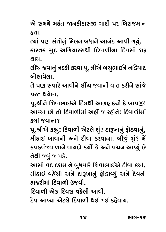#@ Yfi}@ fi˜√E …xOflpOÛYu "ÛpO— f∑ wµ∑ÛQÂfiÛ…

~….<br>ત્યાં પણ સંતોનું મિલન બધાને આનંદ આપી ગયું.<br>કારતક સદ અગ્રિયારસથી દિવાળીના દિવસો શ્ર કારતક સુદ અગિચારસથી દિવાળીના દિવસો શરૂ<br>શાચ

લીંચ જવાનું નક્કી કરવા પૂ.શ્રીએ બચુભાઈને નડિયાદ  $\alpha$ ોલાવેલા

તે પણ સવારે આવીને લીંચ જવાની વાત કરીને સાંજે પરત થચેલા.

પૂ.શ્રીને શિવાભાઈએ દિલથી આગ્રહ કર્યો કે બાપજી! આવ્યા છો તો દિવાળીમાં અહીં જ રહોને! દિવાળીમાં  $\frac{1}{2}$ 

પૂ.શ્રીએ કહ્યું: દિવાળી એટલે શું? દારૂખાનું ફોડવાનું, મીઠાઈ ખાવાની અને દીવા કરવાના. બીજું શું? મેં કપડવંજવાળાને વાચદો કર્યો છે અને વચન આપ્યું છે તેથી જવું જ પડે.

્<br>આસો વદ દશમ ને બુધવારે શિવાભાઈએ દીવા કર્યા,<br>મીઠાઈ વઠેંગી અને દારામાનું કોડાવ્યું અને દેવની મીઠાઇ વહેંચી અને દારૂખાનું ફોડાવ્યું અને દેવની<br>ઠાજરીમાં દિવાળી ઉજવી.

દિવાળી એક દિવસ વઠેલી આવી.

દેવ આવ્યા એટલે દિવાળી થઈ ગઈ કઠેવાય. p@O\_ #Û[}Û #@ŸOË@ wpO\_Û¥— Z\$ "\$ xO˜@\_Û}.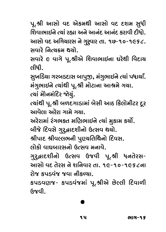પૂ.શ્રી આસો વદ એકમથી આસો વદ દશમ સુધી શિવાભાઈને ત્યાં રહ્યા અને આનંદ આનંદ કરાવી દીધો.<br>આસો વદ અગિચારસ ને ગુરૂવાર તા. ૧૭-૧૦-૧૯૬૮. સવારે નિત્ચક્રમ થચો.

Y\_Û∑@ w…'}∏Ofi Z}Û@.  $Y_\alpha$ ત્નીધી $\,$ 

સુખડિચા ગરબડદાસ બાપુજી, મંગુભાઈને ત્યાં પધાર્યાં.<br>મંગુભાઈને ત્યાંથી પૂ.શ્રી મોટાના આશ્રમે ગયા.

ત્યાં મોેનમંદિર જોયું.

ત્યાંથી પૂ.શ્રી બળદગાડામાં બેસી આઠ કિલોમીટર દૂર ઓવુબા *અ*રેરા ગામુ ગુણા

અરેરામાં રંગભક્ત મણિભાઈને ત્યાં મુકામ કર્યો.

બીજે દિવસે ગુરૂદ્વાદશીનો ઉત્સવ થયો.

श्रीपाद श्रीपल्तलको पुएथतिथिनो दिपस.

લોકો વાઘબારસનો ઉત્સવ મનાવે.

.<br>ગુરુદ્ધાદશીનો ઉત્સવ ઉજવી પૂ.શ્રી ધનતેરસ−<br>આગ્રો.ag તેરસ તે.શ્રનિવાર.તા ૧૯-૧૦-૧૯૬૮ના રોજ કપડવંજ જવા નીકળ્યા.

 $\overline{z}$ ນ  $\overline{z}$   $\overline{z}$   $\overline{z}$   $\overline{z}$   $\overline{z}$   $\overline{z}$   $\overline{z}$   $\overline{z}$   $\overline{z}$   $\overline{z}$   $\overline{z}$   $\overline{z}$   $\overline{z}$   $\overline{z}$   $\overline{z}$   $\overline{z}$   $\overline{z}$   $\overline{z}$   $\overline{z}$   $\overline{z}$   $\overline{z}$   $\overline{z}$   $\overline{z}$   $\overline$  $\alpha$ 

#### 611 - 9 15 Iû - 15 Iûle - 15 Iûle - 15 Iûle - 15 Iûle - 15 Iûle - 15 Iûle - 15 Iûle - 15 Iûle - 15 Iûle - 15 Iûle - 15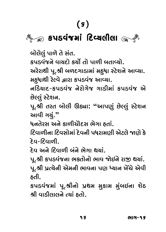## $\frac{1}{\sqrt{2}}$ xOf¤O\_√QÂfiÛ√ wpO[}Ë—ËÛ xOf¤O\_√QÂfiÛ√ wpO[}Ë—ËÛ

બોલેલું પાળે તે સંત.<br>કપડવંજને વાચદો કર્યો તો પાળી બતાવ્યો.

.<br>અરેરાથી પૂ.શ્રી બળદગાડામાં મઠુધા સ્ટેશને આવ્યા.<br>મૂકધાથી રેલ્વે હારા કપડવંજ આવ્યા મઠુધાથી રેલ્વે દ્વારા કપડવંજ આવ્યા.<br>નડિચાદ-કપડવંજ નેરોગેજ ગાડીમાં કપડવંજ એ

છેલ્લું સ્ટેશન.

~~<sub>જુ</sub><br>પૂ.શ્રી તરત બોલી ઊઠ્યા: "આપણું છેલ્લું સ્ટેશન<br>આવી ગચં <sup>?</sup>' આવી ગયું."

ધનતેરસ અને કાળીચોદસ ભેગા હતાં.

િદિવાળીના દિવસોમાં દેવની પધરામણી એટલે જાણે કે<br>`દેવ-દિવાળી

દેવ અને દિવાળી બંને ભેગા થચાં.

પૂ.શ્રી કપડવંજના ભકતોનો ભાવ જોઈને રાજી થયાં. ્<br>પૂ.શ્રી પ્રત્યેની એમની ભાવના પણ ધ્યાન ખેંચે એવી<br>ક્તી

કપડવંજમાં પૂ.શ્રીનો પ્રથમ મુકામ મુંબઈના શેઠ શ્રી વાડીલાલને ત્યાં **હતો**. C— ENDER C—ËNË

9 S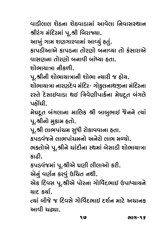વાડીલાલ શેઠના શેઠવાડામાં આવેલા નિવાસસ્થાન श्रीरंग મંદિરમાં પૂ.શ્રી બિરાજ્યા.

આખું ગામ શણગારવામાં આવ્યું હતું.

કાપડીઆએ કાપડના તોરાગો બનાવ્યા તો કુંસારાએ xOÛf¤O—#Û#@ xOÛf¤O…Û EÛ@∑oÛ@ µ…Û[}Û EÛ@ x√OYÛ∑Û#@ \_ÛYo…Û EÛ@∑oÛ@ µ…Û\_— µÛ√◊}Û ˜EÛ.

પૂ.શ્રીની શોભાચાત્રાની શોભા ન્યારી જ હોય.

શોભાચાત્રા નારણદેવ મંદિર- ગોકુલનાથજીના મંદિરના રસ્તે દેસાઈવાડા થઈ ત્રિવેણીપાર્કના મેઘદૂત બંગલે ∑∑™O™∑™∑™O∑™O™™O™™O<sub>™</sub><br>บล`วใ

મેઘદૂત બંગલાના માલિક શ્રી બાબુભાઈ જેનને ત્યાં પૂ.શ્રીનો મુકામ હતો.

્<br>પૂ.શ્રી લાભપાંચમ સુધી રોકાવવાના હતા.<br>કારડાંજને લાભપાંચમનો અનેગે લાભ મ

ભકતોએ પૂ.શ્રીને ચાંદીના રથમાં બેસાડી શોભાચાત્રા  $52$ 

કપડવંજમાં પૂ.શ્રીએ ઘણી લીલાઓ કરી.

એનું વર્ણન કરવું ઉચિત નથી.

્<br>એક દિવસ પૂ.શ્રીએ પોરના ગોવિંદભાઈ ઉપાધ્યાયને<br>ગાદ કર્યા

ત્યાં બીજે જ દિવસે ગોર્વિદભાઈ દર્શન માટે અચાનક  $\mathsf{P}\mathsf{M}$  опров $\mathsf{P}\mathsf{M}$ #Û\_— {ıÛ.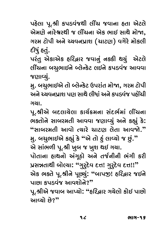પહેલા પૂ.શ્રી કપડવંજથી લીંચ જવાના હતા એટલે<br>એમણે નારેશ્વરથી જ લીંચના એક ભાઈ સાથે મોજા. ગરમ ટોપી અને ચ્ચવનપ્રાશ (ચાટણ) વગેરે મોકલી "∑fi ŸOÛ@f— #…@ }\_…fVÛB ({ÛŸOo) \_"@∑@ fiÛ@xOË—

દીધું હતું.<br>પરંતુ એકાએક હરિદ્વાર જવાનું નકકી થચું એટલે favol 6400 & Goes & Gaba & Basqi & Musul Ë—>{…Û µ{⁄IÛ\$…@ ÏË@±x@OŸO Ë\$…@ xOf¤O\_√QÂ #Û\_\_Û

જણાવ્યું.<br>મુ. બચુભાઈએ તો બ્લેન્કેટ ઉપરાંત મોજા, ગરમ ટોપી ુ. ⊥ુ. …<br>અને ચ્યવનપ્રાશ પણ સાથે લીધાં અને કપડવંજ પહોંચી<br>ગયા

પૂ.શ્રીએ બદલાચેલા કાર્ચક્રમના સંદર્ભમાં લીંચના ભકતોને સાબરમતી આવવા જણાવ્યું અને કહ્યું કે: I®EÛ@…@ YÛµ∑fiE— #Û\_\_Û QÂoÛ[}⁄√ #…@ xO·⁄√ x@O: **"**YÛµ∑fiE— #Û\_Û@ '}Û∑@ {ÛŸOo Ë@EÛ #Û\_@.**"**

મુ. બચુભાઇએ કહ્યું કે "એ તો હું લાવ્યો જ છું."<br>એ સાંભળી પૂ.શ્રી ખુબ જ ખુશ થઇ ગચા.

પોતાના હાથનો અંગૂઠો અને તર્જનીની ભંગી કરી ,<br>પ્રસન્નતાથી બોલ્ચા: "ગુરુદેવ દત્ત! ગુરુદેવ દત્ત!!"<br>એક બક્તે ૫ શ્રીને પછ્યું: "બાપજા! ઠઉિહાર જઈને એક ભકતે પૂ.શ્રીને પૂછ્યું: "બાપજી! હરિ<sub>ર્</sub>બાર જઈને પાછા કપડવંજ આવશોને?"

પૂ.શ્રીએ જવાબ આપ્યો**: "હરિ**દ્વાર ગયેલો કોઈ પાછો #Û[}Û@ ©Â@?**"**

9 C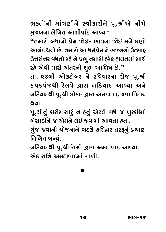ભકતોની માંગણીને સ્વીકારીને પૂ.શ્રીએ નીચે<br>મુજબના લેખિત આશીર્વાદ આપ્યા:

્ર<br>"તમારો બધાનો પ્રેમ જોઇ- ભાવના જોઇ મને ઘણો<br>આનંદ શગો છે. તમારો આ ધર્મોમ ને ભજનનો ઉત્સાહ આનંદ થયો છે. તમારો આ ધર્મપ્રેમ ને ભજનનો ઉત્સાહ ઉત્તરોત્તર વધતો રહે ને પ્રભુ તમારી હરેક હાલતમાં સાથે

ર<mark>દે એવી મારી અંતરની શુભ આશિષ છે."</mark><br>તા. ૨૭મી ઓકટોબર ને રવિવારના રોજ પૂ.શ્રી કપડવંજથી રેલવે દ્વારા નડિયાદ આવ્યા અને  $\alpha$ (Sair $\delta$ U and Giscale is an interest with  $\alpha$  .  $\alpha$ اداو)<br>µالحا

પૂ.શ્રીનું શરીર સારું ન હતું એટલે બધે જ ખુરશીમાં<br>બેઞાડીને જ એમને લઈ જવામાં આવતા હ્વા

µ@YÛ¤O—…@ QÂ #@fi…@ Ë\$ QÂ\_ÛfiÛ√ #Û\_EÛ ˜EÛ. √√∑∕∑ ∑

નિશ્ચિત બન્યું.<br>નડિચાદથી પૂ.શ્રી રેલવે દ્વારા અમદાવાદ આવ્યા.

એક રાત્રિ અમદાવાદમાં ગાળી. #@xO ∑ÛwL #fipOÛ\_ÛpOfiÛ√ "Û¥—.

.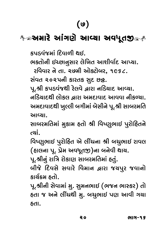## ر<br>અમારે આંગણે આવ્યા અવધૂતજી

ભકતોની ઈચ્છાનુસાર લેખિત આશીર્વાદ આપ્યા.

 $R$ વિવાર ને તા. રહમી ઓક્ટોબર, ૧૯૬૮.

સંવત ૨૦૨૫ની કારતક સુદ છ<sub>8ે</sub>.

પૂ.શ્રી કપડવંજથી રેલવે દ્વારા નડિયાદ આવ્યા.

નડિચાદથી લોકલ હ્રારા અમદાવાદ આવવા નીકળ્યા. અમદાવાદથી ખુલ્લી બગીમાં બેસીને પૂ.શ્રી સાબરમતિ #fipOÛ\_ÛpOZ— «⁄ºË— µ"—fiÛ√ µ@Y—…@ f\.C— YÛµ∑fiwE

.<br>بددنور الح ™™™™∑fi^^™™™™©

વિષ્ણુભાઈ પુરોહિત એ લીંચના શ્રી બચુભાઈ રાવલ ~~ હું…૰ ડું…૬…………………….<br>(હાલના પૂ. પ્રેમ અવધૂતજી)ના બનેવી થાય.<br>પ શ્રીનં રાત્રિ રોકાણ સાબરમતિમાં ક્વં

પૂ.શ્રીનું રાત્રિ રોકાણ સાબરમતિમાં હતું.<br>બીજે દિવસે સવારે વિમાન દ્વારા જચપુર જવાનો કાર્ચક્રમ ઠતો.

પૂ.શ્રીની સેવામાં મુ. સુમનભાઈ (ભજન ભાસ્કર) તો હતા જ અને લીંચથી મુ. બચુભાઈ પણ આવી ગચા  $\overline{z}$  ,  $\overline{y}$  ,  $\overline{y}$ ˜EÛ.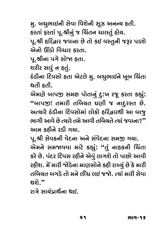મુ. બચુભાઈની સેવા વિશેની સૂઝ અનન્ય હતી.<br>હરતાં ફરતાં પૂ.શ્રીનું જ ચિંતન ચાલતું હોચ. પૂ.શ્રી હરિદ્વાર જવાના છે તો કઈ વસ્તુની જરૂર પડશે એનો ઊંડો વિચાર કરતા.

પૂ.શ્રીના પગે સોજા હતા.

શરીર સારૂં ન હતું.

ڪ<br>جي ⊙<br>ڪ s√O¤O—…Û wpO\_YÛ@ ˜EÛ #@ŸOË@ fi⁄. µ{⁄IÛ\$…@ «\µ w{√EÛ

એમણે બાપજી સમક્ષ પોતાનું દુ:ખ રજૂ કરતા કહ્યું: .<br>"બાપજી! તમારી તબિચત ઘણી જ નાદુરસ્ત છે.<br>ખિટગ કંડીના દિવસોમાં લોકો ફરિલાગ્<sup>0</sup>ી આ બાજ .<br>'<br>ભાગી આવે છે ત્યારે તમે આવી તબિચતે ત્યાં જવાના?<br>આમ કઠીને રૂડી ગયા

પૂ.શ્રી સેવકની વેદના અને સંવેદના સમજી ગયા. ્<br>એમને સમજાવવા માટે કહ્યું: "તું નાહકની ચિંતા<br>કરે છે પંદર દિવસ રહીને એવં લાગશે તો પાછો આવી કરે છે. પંદર દિવસ રહીને એવું લાગશે તો પાછો આવી<br>રહીશ. મેં મારી જોડેના માણસોને કહી રાખ્યું છે કે મારી ∑˜—B. fi@> fiÛ∑— @¤@O…Û fiÛoYÛ@…@ xO˜— ∑Ûˆ}⁄√ ©Â@ x@O fiÛ∑— Ewµ}E µ"¤@O EÛ@ fi…@ Ë—>{ Ë\$ QÂ@. '}Û√ fiÛ∑— Y@\_Û થશે."<br>રાત્રે સાચંપાર્થના **થ**ઈ.

∑∑∑∑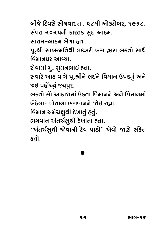બીજે દિવસે સોમવાર તા. ૨૮મી ઓકટોબર, ૧૯૬૮.<br>સંવત ૨૦૨૫ની કારતક સ્દ આઠમ.

<u> સાતમ-આઠમ ભેગા હતા.</u>

પૂ.શ્રી સાબરમતિથી લકઝરી બસ દ્વારા ભકતો સાથે વિમાનઘર આવ્યા.

સેવામાં મુ. સુમનભાઈ હતા.

સવારે આઠ વાગે પૂ.શ્રીને લઈને વિમાન ઉપડ્યું અને જઈ પહોંચ્યું જચપુર.

ભકતો સો આકાશમાં ઉડતા વિમાનને અને વિમાનમાં <u>બેઠેલા- પોતાના ભગવાનને જોઈ રહ્યા.</u>

<u>વિમાન ચર્મચક્ષૂથી દેખાતું હતું.</u>

ભગવાન અંતર્ચક્ષુથી દેખાતા હતા.

I"\_Û… #√E{™Æ⁄Z— p@O«ÛEÛ ˜EÛ. **'**#√E{™Æ⁄Z— @\_Û…— Ÿ@O\_ fÛ¤OÛ@**'** #@\_Û@ o@ Y√x@OE ˜EÛ@.

# .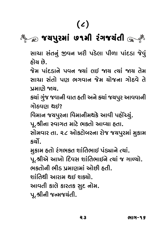## $\frac{1}{\sqrt{2}}$  $\frac{1}{2}$ fi $\frac{1}{2}$

સાચા સંતનું જીવન ખરી પડેલા પીળા પાંદડા જેવું<br>હોચ છે.

જેમ પાંદડાને પવન જ્યાં લઈ જાય ત્યાં જાય તેમ સાચા સંતો પણ ભગવાન જેમ ચોજના ગોઠવે તે પ્પમાાગે જાચ.

ક્યાં ગુંજ જવાની વાત હતી અને ક્યાં જયપુર આવવાની <u>ગોઠવાગ શઈ?</u>

વિમાન જચપુરના વિમાનીમથકે આવી પહોંચ્યું.

પૂ.શ્રીના સ્વાગત માટે ભકતો આવ્યા હતા.

for  $\alpha$  or  $\alpha$  or  $\alpha$  . The find  $\alpha$  with  $\frac{1}{2}$ 

મુકામ હતો રંગભકત શાંતિભાઈ પંડ્યાને ત્યાં.

પૂ.શ્રીએ આખો દિવસ શાંતિભાઈને ત્યાં જ ગાળ્યો.

<u>ભક્તોની ભીડ પમાણમાં ઓછી ઠતી.</u>

શાંતિથી આગમ થઇ શક્યો.

આવતી કાલે કારતક સુદ નોમ.

પૂ.શ્રીની જન્મજચંતી.  $\sim$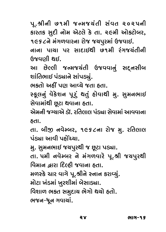પૂ.શ્રીની હ૧મી જન્મજચંતી સંવત ૨૦૨૫ની<br>કારતક સૂદી નોમ એટલે કે તા. ૨૯મી ઓકટોબર, ૧૯૬૮ને **મંગળવારના રોજ જચપુરમાં ઉજવાઈ.** 

ો નાવા પાંચા પર સાદાઇથી હરતી રંગજચંતીની િશ્રવાગી શઈ

આ છેલ્લી જન્મજચંતી ઉજવવાનું સદ્નસીબ શાંતિભાઈ પંડ્યાને સાંપડ્યું.

ભકતો અઠીં પણ આવ્યે જતા હતા.

સ્કૂલનું વેકેશન પૂરું થતું હોવાથી મુ. સુમનભાઈ સેવામાંથી છૂટા થવાના હતા.

એમની જગ્યાએ ડૉ. રતિલાલ પંડ્યા સેવામાં આવવાના  $^{6}$ dl $^{6}$ 

તા. બીજી નવેમ્બર, ૧૯૬૮ના રોજ મુ. રતિલાલ પંડ્યા આવી પઠોંચ્યા.

મુ. સુમનભાઈ જચપુરથી જ છૂટા પડ્યા.

તા. પમી નવેમ્બર ને મંગળવારે પૂ.શ્રી જચપુરથી <u>વિમાન હારા દિલ્હી જવાના હતા.</u>

મળસ્કે ચાર વાગે પૂ.શ્રીને સ્નાન કરાવ્યું.

મોટા ખંડમાં ખુરશીમાં બેસાડ્યા.

વિશાળ ભકત સમુદાચ ભેગો થયો હતો.

ભજન-ધૂન ગવાચાં.<br>ભજન-ધૂન ગવાચાં.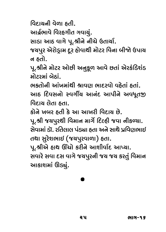વિદાચની વેળા ઠતી.

આર્દ્રભાવે વિરહગીત ગવાચું.

સાડા આઠ વાગે પૂ.શ્રીને નીચે ઉતાર્યા.

 $\sim$ الله ان الله عليه الله عليه الله عليه الله عليه الله عليه الله عليه الله عليه الله عليه الله عليه الله عليه ا<br>الله عليه الله عليه الله عليه الله عليه الله عليه الله عليه الله عليه الله عليه الله عليه الله عليه الله ع  $\frac{3}{\sqrt{2}}$   $\frac{2}{\sqrt{2}}$ 

પૂ.શ્રીને મોટર ઓછી અનુકૂળ આવે છતાં એરકંડિશંડ  $\hat{G}$  iac<lik

ભકતોની આંખમાંથી શ્રાવણ ભાદરવો વઠેતાં ઠતાં. I®EÛ@…— #Û√«fiÛ√Z— CÛ\_o IÛpO∑\_Û@ \_˜@EÛ√ ˜EÛ√. #ÛsO wpO\_Y…Û@ Õ\_"—S} #Û…√pO #Ûf—…@ #\_A\Eu

કોને ખબર હતી કે આ આખરી વિદાચ છે.

પૂ.શ્રી જચપુરથી વિમાન માર્ગે દિલ્હી જવા નીકળ્યા. . સેવામાં ડૉ. રતિલાલ પંડ્યા હતા અને સાથે પવિણભાઈ તથા સુરેશભાઈ (જચપુરવાળા) હતા.

પૂ.શ્રીએ હાથ ઊંચો કરીને આશીર્વાદ આપ્યા.

 $\sim$  . C— wo wo so wo wo wo wo wo wo wo wo  $\sim$  $\mathcal{S}$  Yuziqiyi Qi $\mathcal{S}$ i watif  $\mathbb{R}^2$ 

.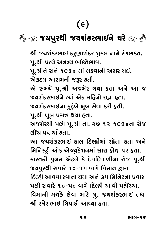## $\frac{1}{2}$  $Z^2$

श्री જચશંકરભાઈ કરુણાશંકર શુકલ નામે રંગભકત.<br>પૂ.શ્રી પ્રત્યે અનન્ય ભક્તિભાવ.

પૂ.શ્રીને સને ૧૯૬૪ માં લકવાની અસર થઈ.

એકદમ આરામની જરૂર હતી.

એ સમચે પૂ.શ્રી અજમેર ગચા હતા અને આ જ #@ Yfi}@ f\.C— #QÂfi@∑ "}Û ˜EÛ #…@ #Û QÂ

જચશંકરભાઈના ફુટુંબે ખૂબ સેવા કરી હતી.

પૂ.શ્રી ખૂબ પ્રસન્ન થયા હતા.

અજમેરથી પછી પૂ.શ્રી તા. ૨૭ ૧૨ ૧૯૬૪ના રોજ ્લીંચ પધાર્થા હતા.<br>લીંચ પધાર્થા હતા.<br>બીંચ પધાર્થા હતા.

મિનિસ્ટ્રી ઓફ એજ્યુકેશનમાં સારા હોદ્દા પર હતા. કારતકી પુનમ એટલે કે દેવદિવાળીના રોજ પૂ.શ્રી જચપુરથી સવારે ૧૦-૧પ વાગે વિમાન *દ્વ*ારા દિલ્હી આવવા રવાના થયા અને ૩૫ મિનિટના પ્રવાસ પછી સવારે ૧૦-૫૦ વાગે દિલ્હી આવી પહોંચ્યા. િબિમાની મથકે લેવા માટે મુ. જચશંકરભાઈ તથા શ્રી રમેશભાઈ ત્રિપાઠી આવ્યા **હતા.** C— ∑fi@BIÛ\$ wLfûs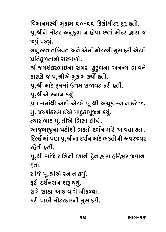$\tilde{\mathcal{L}}$ رين حرابة الأرباء الأولى بن كالمعلوم وزار والم  $\frac{1}{\alpha}$  for  $\frac{1}{\alpha}$   $\frac{1}{\alpha}$   $\frac{1}{\alpha}$   $\frac{1}{\alpha}$  .

જવું પડ્યું.<br>નાદુરસ્ત તબિયત અને એમાં મોટરની મુસાફરી એટલે પ્રતિકૂળતાનો સરવાળો.

શ્રી જચશંકરભાઈના સમગ્ર કુટુંબના અનન્ય ભાવને કારણે જ પૂ.શ્રીએ મુકામ કર્યો હતો.

પૂ.શ્રી માટે રૂમમાં ઉત્તમ સજાવટ કરી હતી.

પૂ.શ્રીએ સ્નાન કર્યું.

પ્રવાસમાંથી આવે એટલે પૂ.શ્રી અચૂક સ્નાન કરે જ. મુ. જચશંકરભાઈએ પાદુકાપૂજન કર્યું.

ુ<br>ત્યાર બાદ પૂ.શ્રીએ ભિક્ષા લીધી.<br>આજબાજના પડોગ્રી ભક્તો દર્શન માં

આજુબાજુના પડોશી ભકતો દર્શન માટે આવતા હતા.<br>દિલ્હીમાં પણ પૂ.શ્રીના દર્શન માટે ભકતોની અવરજવર ે કપ્રતી કપી

∑˜@E— ˜E—. f\.C— YÛ√QÂ@ ∑ÛwL…— pOB…— Ÿ§@O… ›Û∑Û ˜w∑›Û∑ QÂ\_Û…Û

સાંજે પૂ.શ્રીએ સ્નાન કર્યું.

ફરી દર્શનસત્ર શરૂ થયું.

રાત્રે સાડા આઠ વાગે નીકળ્યા.

 $\epsilon$ أكوالحلا المحافر والله الله الله الموارد ال  $\frac{1}{2}$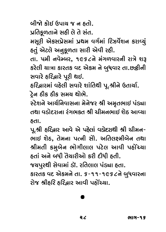બીજો કોઈ ઉપાય જ ન હતો.

પ્રતિકૂળતાને સહી લે તે સંત.

મસૂરી એકસપ્રેસમાં પ્રથમ વર્ગમાં રિઝર્વેશન કરાવ્યું હતું એટલે અનુકૂળતા સારી એવી રહી.

તા. પમી નવેમ્બર, ૧૯૬૮ને મંગળવારની રાત્રે શરૂ EÛ. 5fi— …\_@~µ∑, 1968…@ fi√"¥\_Û∑…— ∑ÛL@ BT xO∑@Ë— }ÛLÛ xOÛ∑ExO \_pO #@xOfi …@ µ⁄A\_Û∑ EÛ. ©ÂyO—…— સવારે હરિદ્વારે પૂરી થઈ.<br>હરિદ્વારમાં વહેલી સવારે શાંતિથી પૂ.શ્રીને ઉતાર્યા.

ટ્રેન ઠીક ઠીક સમય થોભે.

સ્ટેશને આર્ચનિવાસના મેનેજર શ્રી અમૃતભાઈ પંડ્યા તથા વડોદરાના રંગભકત શ્રી ચીમનભાઈ શેઠ આવ્યા  $E$ dl

પૂ.શ્રી હરિદ્વાર આવે એ પહેલાં વડોદરાથી શ્રી ચીમન-ભાઈ શેઠ, તેમના પત્ની સોે. અતિલક્ષ્મીબેન તથા श्रीभती કમુબેન ભોગીલાલ પટેલ આવી પહોંચ્યા દતાં અને બધી તૈયારીઓ કરી દીધી દતી.<br>જગપગ્રથી સેવામાં કૉ રૂતિલાલ પંડ્યા હતા QÂ}f⁄∑Z— Y@\_ÛfiÛ√ ¤OÛø. ∑wEËÛË f√gÛ ˜EÛ. xOÛ∑ExO \_pO #@xOfi…@ EÛ. 6-11-1968…@ µ⁄A\_Û∑…Û

∑∑∑∑∑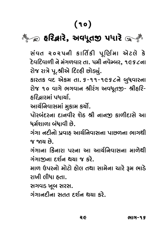## ્<br>દરિ<mark>દ્</mark>વારે, અવધૂતજી પધારે

સંવત ૨૦૨૫ની કાર્તિકી પૂર્ણિમા એટલે કે<br>દેવદિવાળીનેમંગળવારતા.પમીનવેમ્બર,૧૯૬૮ના રોજ રાત્રે પૂ.શ્રીએ દિલ્હી છોડ્યું.

્ર<br>ટિસ્ટિસ ફિલ્મ જોટલ ના કે-૨૩-૨૯૨૭ બેંદ્રોતાડવા<br>સિંહ કે બાગ બરાવાન સીરંગ અવધતજી- સીઠટિ-રોજ ૧૦ વાગે ભગવાન શ્રીરંગ અવધતજી- શ્રીહરિ-

હરિદ્વારમાં પધાર્યા.<br>આર્યનિવાસમાં મુકામ કર્યો.

પોરબંદરના દાનવીર શેઠ શ્રી નાનજી કાળીદાસે આ ્<br>ધર્મશાળા બંધાવી છે.<br>ધર્મશાળા બંધાવી છે.

ગંગા નદીનો પ્રવાહ આર્ચનિવાસના પાછળના ભાગથી<br>જ જાગ્ર છે

ગંગાના કિનારા પરના આ આર્ચનિવાસના માળેથી ગંગાજીના દર્શન થયા જ કરે.

માળ ઉપરનો મોટો હોલ તથા સામેના ચારે રૂમ ભાડે fiÛ¥ &f∑…Û@ fiÛ@ŸOÛ@ ˜Û@Ë EZÛ YÛfi@…Û {Û∑@ Tfi IÛ¤@O ∑Û«— Ë—AÛ ˜EÛ.

સગવડ ખૂબ સરસ.<br>ગંગાનદીના સતત દર્શન થયા કરે. "√"Û…pO—…Û YEE pOB™… Z}Û xO∑@.

RG.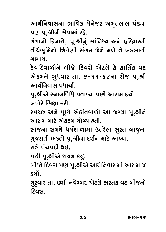આર્ચનિવાસના ભાવિક મેનેજર અમૃતલાલ પંડ્યા<br>પણ પૂ.શ્રીની સેવામાં રહે.

fo f\.C—…— Y@\_ÛfiÛ√ ∑˜@. "√"Û…Û@ wxO…Û∑Û@, f\.C—…⁄√ YÛ√w…◊} #…@ ˜w∑›Û∑…— તીર્થભૂમિનો ત્રિવેણી સંગમ જેને મળે તે બડભાગી<br>ગાગાચ.

દેવદિવાળીને બીજે દિવસે એટલે કે કાર્તિક વદ .<br>એકમને બુધવાર તા. ૬-૧૧-૬૮ના રોજ પૂ.શ્રી<br>આર્ચનિવાસ પ્રધાર્ચા આર્ચનિવાસ પદ્માર્ચા.

પૂ.શ્રીએ સ્નાનવિધિ પતાવ્યા પછી આરામ કર્યો.<br>બપોરે ભિક્ષા કરી

સ્વચ્છ અને પૂર્ણ એકાંતવાળી આ જગ્યા પૂ.શ્રીને ે આગમ માટે એકદમ ચોગ્ય હતી.

્ય મહત્વો છે.<br>સાંજના સમયે ધર્મશાળામાં ઉતરેલા સુરત બાજુના<br>ગજગતી ભક્તો ૫ શ્રીના દર્શન માટે આવ્યા ગુજરાતી ભકતો પૂ.શ્રીના દર્શન માટે આવ્યા.<br>રાત્રે પંચપદી થઇ.

પછી પૂ.શ્રીએ શચન કર્યું.

 $\frac{1}{2}$ ری<br>آداکه بر اداان احتکا  $\frac{1}{2}$ 

w<br>D⊂lC √∑∕∑∕∑∕∑∕∑<br>टिΩभ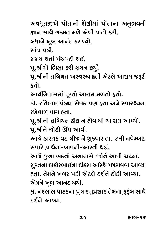અવધૂતજીએ પોતાની શૈલીમાં પોતાના અનુભવની<br>કાાન સાથે ગમ્મત મળે એવી વાતો કરી ્… જ્<sub>યા</sub><br>બધાને ખૂબ આનંદ કરાવ્યો.<br>સાંજ પડી <u>સમય થતાં પંચપદી થઈ.</u>

પૂ.શ્રીએ ભિક્ષા કરી શચન કર્યું.

પૂ.શ્રીની તબિચત અસ્વસ્થ હતી એટલે આરામ જરૂરી  $\epsilon$ <sup>o</sup>ê  $\epsilon$ 

આર્ચનિવાસમાં પૂરતો આરામ મળતો હતો.

ડૉ. રતિલાલ પંડ્યા સેવક પણ હતા અને સ્વાસ્થ્યના <u>રખેવાળ પણ હતા.</u>

પૂ.શ્રીની તબિચત ઠીક ન હોવાથી આરામ આપ્યો. પૂ.શ્રીને થોડી ઊંઘ આવી.

આજે કારતક વદ ત્રીજ ને શુક્રવાર તા. ૮મી નવેમ્બર. <u> સવારે પાર્શુ<sup>વા-</sup>ભાત્રની-આરતી શઈ.</u>

આજે જુના ભકતો અનાચાસે દર્શને આવી ચઢ્યા. ્<br>સુરતના ઠાકોરભાઈના દીકરા અસ્થિ પધરાવવા આવ્યા<br>હતા. તેમને ખબર પડી એટલે દર્શને દોડી આવ્યા એમને ખૂબ આનંદ થયો.

મુ. નંદલાલ પાઠકના પુત્ર દત્તુપ્રસાદ તેમના કુટુંબ સાથે  $\epsilon$ ર્શને આવ્યા.

39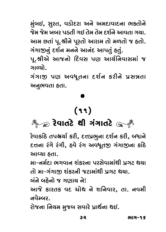મુંબઈ, સુરત, વડોદરા અને અમદાવાદના ભકતોને<br>જેમ જેમ ખબર પડતી ગઈ તેમ તેમ દર્શને આવતા ગયા. આમ છતાં પૂ.શ્રીને પૂરતો આરામ તો મળતો જ હતો. ગંગાજીનું દર્શન મનને આનંદ આપતું હતું.

પૂ.શ્રીએ આજનો દિવસ પણ આર્ચનિવાસમાં જ  $\mathcal{L}$  for  $\mathcal{L}$  for  $\mathcal{L}$  for  $\mathcal{L}$ 

ગંગાજી પણ અવધૂતના દર્શન કરીને પ્રસન્નતા<br>અનભવતાકતા  $\sim$ 

## $(99)$

## ैं के 291145 कि अपने अपने अपने

∑@\_ÛEŸ@O Z— "√"ÛEŸ@O ∑@\_ÛEŸ@O Z— "√"ÛEŸ@O "√"ÛEŸ@O ટેવાકાંઠે તપશ્ચર્યા કરી, દત્તપ્રભુના દર્શન કરી, બધાને<br>દત્તના રંગે રંગી, કુલે રંગ અવધતજ ગંગાજના કાંઠે ɛत્तना २ंगे २ंगी, हवे २ंग અવધૂતજી ગંગાજીના કાંઠે<br>આવ્યા હતા.

મા-નર્મદા ભગવાન શંકરના પરસેવામાંથી પ્રગટ થયા તો મા-ગંગાજી શંકરની જટામાંથી પ્રગટ થયા.

<u>બંને બહેનો જ ગણાચ ને!</u>

ાર્થા⊂ રાઝ સમ્દાર આન્દ<br>ખા  $^{2}$  x  $^{2}$ 

…\_@~µ∑.  $\frac{1}{2}$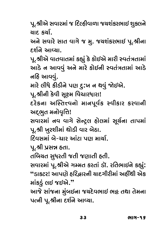પૂ.શ્રીએ સવારમાં જ દિલ્હીવાળા જચશંકરભાઈ શુક્લને<br>ચાદ. કર્ચા

અને સવારે સાત વાગે જ મુ. જચશંકરભાઈ પૂ.શ્રીના  $E$ ર્શને આવ્યા.

પૂ.શ્રીએ વાતવાતમાં કહ્યું કે કોઈએ મારી સ્વતંત્રતામાં  $\epsilon$  a sultique of xo such alled xounting such a fine  $^{\circ}$  #Ug = 0000  $^{\circ}$ 

…~<br>મારે લીધે કીડીને પણ દુ:ખ ન થવું જોઇએ.<br>પ શ્રીની કેલી સશ્સ વિચારધારા!

પૂ.શ્રીની કેવી સૂક્ષ્મ વિચારધારા!<br>દરેકના અસ્તિત્ત્વનો માનપૂર્વક સ્વીકાર કરવાની અદ્ભુત મનોવૃત્તિ!

સવારમાં નવ વાગે સેન્ટ્રલ હોલમાં સૂર્યના તાપમાં પૂ.શ્રી ખુરશીમાં થોડી વાર બેઠા.

<u>દિવસમાં બે-ચાર આંટા પણ માર્ચા.</u>

પૂ.શ્રી પ્રસન્ન હતા.

્<br>તબિચત સુધરતી જતી જણાતી હતી.<br>સવારમાં પ શ્રીએ ગમ્મત કરતાં ડૉ

Y\_Û∑fiÛ√ f\.C—#@ "~fiE xO∑EÛ√ ¤OÛø. ∑wEIÛ\$…@ xO·⁄√: **"**¤OÛ®ŸO∑! #Ûfo@ ˜w∑›Û∑…— }ÛpO"—∑—fiÛ√ #˜—>Z— #@xO માંકડું લઈ જઈએ."<br>આજે સાંજના મુંબઈના જચદેવભાઈ ભ<del>દ્</del>ટ તથા તેમના

 $\frac{1}{2}$ ો માં સીબા દર્શન આપ્યા  $\sim$ 

33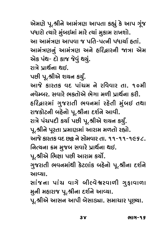.<br>પધારો ત્યારે મુંબઈમાં મારે ત્યાં મુકામ રાખશો.<br>આ આમંત્રણ આપવા જ પતિ-પત્ની પધણ કતાં આ આમંત્રણ આપવા જ પતિ-પત્ની પધાર્થા હતાં.<br>આમંત્રણનું આમંત્રણ અને હરિદ્વારની જાત્રા એમ એક પંથ- દો કાજ જેવું થયું. <u>રાત્રે પાર્થના થઈ.</u>

પછી પૂ.શ્રીએ શચન કર્યું.

આજે કારતક વદ પાંચમ ને રવિવાર તા. ૧૦મી <u>નવેમ્બર, સવારે ભક્તોએ ભેગા મળી પ્રાર્થના કરી.</u> હરિદ્વારમાં ગુજરાતી ભવનમાં રહેતી મુંબઈ તથા રાજકોટની બહેનો પૂ.શ્રીના દર્શને આવી. રાત્રે પંચપદી કર્યા પછી પૂ.શ્રીએ શચન કર્યું. પૂ.શ્રીને પૂરતા પ્રમાણમાં આરામ મળતો રહ્યો. આજે કારતક વદ છ<del>ર</del>ૂ ને સોમવાર તા. ૧૧-૧૧-૧૯૬૮. <u>નિત્ચના ક્રમ મુ</u>જબ સવારે પ્રાર્થના થઈ.

પૂ.શ્રીએ ભિક્ષા પછી આરામ કર્યો.

ગુજરાતી ભવનમાંથી કેટલાંક બહેનો પૂ.શ્રીના દર્શને "⁄QÂ∑ÛE— I\_…fiÛ√Z— x@OŸOËÛ√xO µ˜@…Û@ f\.C—…Û pOB™…@

સાંજના પાંચ વાગે બીલ્વેશ્વરવાળી ગુફાવાળા મુની મહારાજ પૂ.શ્રીના દર્શને આવ્યા.

fi⁄…— fi˜Û∑ÛQÂ f\.C—…Û pOB™…@ #Û[}Û.  $\sim$   $\sim$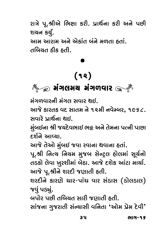રાત્રે પૂ.શ્રીએ ભિક્ષા કરી. પ્રાર્થના કરી અને પછી<br>શચન કર્યં.

આમ આરામ અને એકાંત બંને મળતા હતાં. તબિચત ઠીક હતી. Ewµ}E sO—xO ˜E—.

## $(12)$ (12)

મંગળવારની મંગલ સવાર થઈ.

આજે કારતક વદ સાતમ ને ૧૨મી નવેમ્બર, ૧૯૬૮. <u>સવારે પાર્શના શઈ.</u>

મુંબઈના શ્રી જચદેવભાઈ ભફ્ર અને તેમના પત્ની પાછા  $f$ ર્શને આવ્યા.

આજે તેઓ મુંબઈ જવા રવાના થવાના હતાં.

પૂ.શ્રી નિત્ય નિયમ મુજબ સેન્ટ્રલ હોલમાં સૂર્યનો તડકો લેવા ખુરશીમાં બેઠા. આજે દશેક આંટા માર્ચા. આજે પૂ.શ્રીને શરદી જણાતી હતી.

 $\sim$ ה כווא וכוונ-כווכ ונוכוא וציבונ  $\infty$ o din  $\infty$ o din  $\infty$ જવું પડ્યું.<br>બપોર પછી તબિચત સારી જણાતી હતી.

µfÛ@∑ f©Â— Ewµ}E YÛ∑— QÂoÛE— ˜E—. YÛ√QÂ…Û "⁄QÂ∑ÛE— Y√±}ÛY— \_w…EÛ **'**#Û@fi fV@fi p@O\_—**'**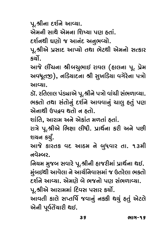પૂ.શ્રીના દર્શને આવ્યા.<br>એમની સાથે એમના શિષ્યા પણ ઠતાં.

દર્શનથી ઘણો જ આનંદ અનુભવ્યો.

પૂ.શ્રીએ પ્રસાદ આપ્યો તથા ભેટથી એમનો સત્કાર  $\frac{\epsilon}{\epsilon}$ 

આજે લીંચના શ્રીબચુભાઈ રાવલ (હાલના પૂ. પ્રેમ અવધૂતજી), નડિચાદના શ્રી સુખડિચા વગેરેના પત્રો<br>આવ્યા

ડૉ. રતિલાલ પંડ્યાએ પૂ.શ્રીને પત્રો વાંચી સંભળાવ્યા. ભકતો તથા સંતોનું દર્શને આવવાનું ચાલુ હતું પણ એનાથી ઉપદ્રવ થતો ન હતો.

શાંતિ, આરામ અને એકાંત મળતાં હતાં.

રાત્રે પૂ.શ્રીએ ભિક્ષા લીધી. પ્રાર્થના કરી અને પછી<br>શરાન કર્ય

B}… xO}⁄q. #ÛQÂ@ xOÛ∑ExO \_pO #ÛsOfi …@ µ⁄A\_Û∑ EÛ. 13fi—

નિચમ મુજબ સવારે પૂ.શ્રીની હાજરીમાં પ્રાર્થના થઈ. મુંબઈથી આવેલા ને આર્ચનિવાસમાં જ ઉતરેલા ભકતો દર્શને આવ્યા. એમણે બે ભજનો પણ સંભળાવ્યા.

પૂ.શ્રીએ આરામમાં દિવસ પસાર કર્યો.

આવતી કાલે સપ્તર્ષિ જવાનું નકકી થયું હતું એટલે એની પૂર્વતેૅચારી થઈ.  $\sim$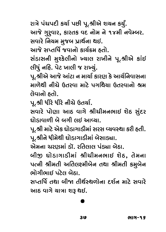રાત્રે પંચપદી કર્યા પછી પૂ.શ્રીએ શચન કર્યું.<br>આજે ગુર઼્વાર, કારતક વદ નોમ ને ૧૪મી નવેમ્બર. સવારે નિચમ મુજબ પ્રાર્થના થઈ.

આજે સપ્તર્ષિ જવાનો કાર્યક્રમ હતો.

સંડાસની મુશ્કેલીનો ખ્યાલ રાખીને પૂ.શ્રીએ કાંઈ Y√¤OÛY…— fi⁄‹x@OË—…Û@ ˆ}ÛË ∑Û«—…@ f\.C—#@ xOÛ√\$ Ë—A⁄√ …w˜. f@ŸO «ÛË— QÂ ∑Ûˆ}⁄√.

પૂ.શ્રીએ આજે આંટા ન માર્ચા કારણ કે આર્ચનિવાસના<br>માળેથી નીચે ઉતરવા માટે પગથિયા ઉતરવાનો શ્રમ <u>તેવાનો કતો.</u>

……………<br>પૂ.શ્રી ધીરે ધીરે નીચે ઉતર્યા.<br>સવારે પોણા આદ વાગે શ્ર

સવારે પોણા આઠ વાગે શ્રીચીમનભાઈ શેઠ સુંદર<br>ઘોડાવાળી બે બગી લઈ આવ્યા.

પૂ.શ્રી માટે એક ઘોડાગાડીમાં સરસ વ્યવસ્થા કરી હતી. ૂ<br>પૂ.શ્રીને ધીમેથી ઘોડાગાડીમાં બેસાડ્યા.<br>એમના રાગગમાં ≤ૉ રુતિવાલ પંડ્યા બેઠા

બીજી ઘોડાગાડીમાં શ્રીચીમનભાઈ શેઠ, તેમના પત્ની શ્રીમતી અતિલક્ષ્મીબેન તથા શ્રીમતી કમુબેન ભોગીભાઈ પટેલ બેઠા.

સપ્તર્ષિ તથા બીજા તીર્થસ્થળોના દર્શન માટે સવારે આઠ વાગે ચાત્રા શરૂ થઈ.  $\frac{1}{\sqrt{2}}$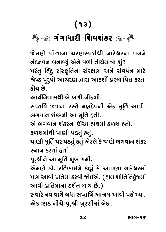## $\sqrt{13}$ <mark>ગંગાધારી શિવશંકર</mark>

<u>નંદનવન બનાવ્યું</u> એને વળી તીર્થચાત્રા શું? ્<br>પરંતુ હિંદુ સંસ્કૃતિના સંરક્ષણ અને સંવર્ધન માટે<br>શ્વેષ્ઠ પરૂષો આગગગ હારા આદર્શો પસ્થાપિત કરતા श्रेષ્ઠ પુરુષો આચરણ દ્વારા આદર્શો પ્રસ્થાપિત કરતા<br>ઠોચ છે.

આર્ગુણિતાંસ્રદ્યી બે ભગી થાંસ્ભા

સપ્તર્ષિ જવાના રસ્તે મહાદેવની એક મૂર્તિ આવી. ભગવાન શંકરની આ મૂર્તિ હતી.

મે ભગવાન શંકરના ઊંચા ઠાશમાં કળશ ઠતો.

<u> કળશમાંથી પાણી પડતું હતું.</u>

પાણી મૂર્તિ પર પડતું હતું એટલે કે **જાણે ભગવાન શંક**ર  $\dot{\tilde{\mathbf{r}}}$ નાન કરતાં હતાં

પૂ.શ્રીને આ મૂર્તિ ખૂબ ગમી.

એમણે ડૉ. રતિભાઈને કહ્યું કે આપણા નારેશ્વરમાં પણ આવી પ્રતિમા કરવી જોઈએ. (હાલ શાંતિનિકુંજમાં આવી પ્રતિમાના દર્શન થાચ છે.)

#Û\_— fVwEfiÛ…Û pOB™… ZÛ} ©Â@.) Y\_Û∑@ …\_ \_Û"@ µAÛ YcEw∆™ #ÛCfi #Û\_— f˜Û@> }Û. એક ઝાડ નીચે પૂ.શ્રી ખુરશીમાં બેઠા.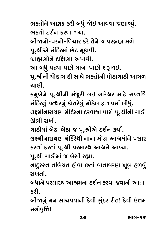ભકતોને આગ્રહ કરી બધું જોઈ આવવા જણાવ્યું.<br>ભકતો દર્શન કરવા ગચા

બીજાનો-પરનો-વિચાર કરે તેને જ પરબ્રહ્મ મળે.

પૂ.શ્રીએ મંદિરમાં ભેટ મૂકાવી.

બ્રાહ્મણોને દક્ષિણા અપાવી.

્ર<br>આ બધું પત્થા પછી ચાત્રા પાછી શરૂ થઈ.<br>પ શ્રીની ઘોડાગાડી સાથે ભક્તોની ઘોડાગ

પૂ.શ્રીની ઘોડાગાડી સાથે ભકતોની ઘોડાગાડી આગળ<br>ચાલી

કમ઼્રબેને પૂ.શ્રીની મંજૂરી લઈ નારેશ્વર માટે સપ્તર્ષિ ્ડ<br>મંદિરનું પત્થરનું કોતરેલું મોડેલ રૂ.૧પમાં લીધું.<br>લક્ષ્મીનાગુણાગ મંદિરના દરવાજા પાસે પ શ્રીની ગાડી

લક્ષ્મીનારાયણ મંદિરના દરવાજા પાસે પૂ.શ્રીની ગાડી<br>ઊભી ગામી

ગાડીમાં બેઠા બેઠા જ પૂ.શ્રીએ દર્શન કર્યા.

લક્ષ્મીનારાયણ મંદિરેથી નાના મોટા આશ્રમોને પસાર કરતાં કરતાં પૂ.શ્રી પરમારથ આશ્રમે આવ્યા.

પૂ.શ્રી ગાડીમાં જ બેસી રહ્યા.

નાદુરસ્ત તબિચત હોવા છતાં વાતાવરણ ખૂબ હળવું  $\frac{1}{2}$ 

… ……<br>બધાને પરમારથ આશ્રમના દર્શન કરવા જવાની આજ્ઞા<br>કડી

xO∑—.  $\frac{3}{2}$  and  $\frac{3}{2}$ finite  $\epsilon$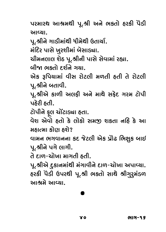પરમારથ આશ્રમથી પૂ.શ્રી અને ભક્તો હરકી પેડી<br>આવ્યા

્ર<br>પૂ.શ્રીને ગાડીમાંથી ધીમેથી ઉતાર્યા.<br>મંદિર પાસે ખરશીમાં બેસાડ્યા

મંદિર પાસે ખુરશીમાં બેસાડ્યા.<br>ચીમનલાલ શેઠ પૂ.શ્રીની પાસે સેવામાં રહ્યા.

બીજા ભકતો દર્શને ગચા.

એક રૂપિયામાં વીસ રોટલી મળતી હતી તે રોટલી પૂ.શ્રીને બતાવી.

પૂ.શ્રીએ કાળી અલફી અને માથે સફેદ ગરમ ટોપી  $\mu$ કેરી હતી.

ટોપીને ફલ ચોંટાડ્યા હતા.

ં<br>વેશ એવો હતો કે લોકો : મહાત્મા કોણ હશે?

વામન ભગવાનના કદ જેટલી એક પ્રોઢ ભિક્ષુક બાઈ પૂ.શ્રીને પગે લાગી.

તે દાળ-ચોખા માગતી હતી.

પૂ.શ્રીએ દૃકાનમાંથી મંગાવીને દાળ-ચોખા અપાવ્યા. હરકી પેડી ઉપરથી પૂ.શ્રી ભકતો સાથે શ્રીગુરૂમંડળ આશ્રમે આવ્યા.

# .<br>...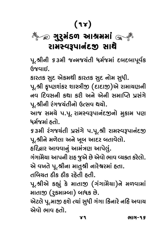## (14) રામસ્વરૂપાનંદજી સાથે

 $\frac{1}{2}$ પૂ.શ્રીની <mark>9 ૩મી જન્મજચંતી ધર્મજમાં</mark> દબદબાપૂર્વક<br>ઉજવાઇ

~~~~~~<br>કારતક સુદ એકમથી કારતક સુદ નોમ સુધી.<br>૫ શ્રી કૃષ્ણગંકર શાસ્ત્રીજા ( દાદાજો)એ ગ્રમ

પૂ.શ્રી કૃષ્ણશંકર શાસ્ત્રીજી (દાદાજી)એ રામાચણની<br>નવ દિવસની કથા કરી અને એની સમાપ્તિ પ્રસંગે પૂ.શ્રીની રંગજચંતીનો ઉત્સવ થયો.

આજ સમચે પ.પૂ. રામસ્વરૂપાનંદજીનો મુકામ પણ ີ້.<br>ધર્મજમાં હતો.<br>૬૩મી ડંગજરાંતી માત્રંગે મામ શ્રી રામસ્વરમાનંદજા

53મી રંગજચંતી પ્રસંગે પ.પૂ.શ્રી રામસ્વરૂપાનંદજી<br>પૂ.શ્રીને મળેલા અને ખૂબ આદર બતાવેલો.

<u>દરિ</u>દ્વાર આવવાનું આમંત્રણ આપેલું.

ગંગામેેચા આપની રાહ જુએ છે એવો ભાવ વ્યક્ત કરેલો. એ વખતે પૂ.શ્રીના માતુશ્રી નારેશ્વરમાં હતા.

 $\alpha$ બિચત ઠીક ઠીક રઠ્ઠેતી ઠતી.

પૂ.શ્રીએ કહ્યું કે માતાજી (ગંગામેચા)ને મળવામાં ્ર<br>માતાજી (રુકમામ્બા) બાધક છે.<br>એટલે પ સાજ કશે ત્યાં સધી ગંગા કિનારે નકિ અવાય

એટલે પૂ.માજી હશે ત્યાં સુધી ગંગા કિનારે નહિ અવાચ<br>એવો ભાવ હતો. #@\_Û@ IÛ\_ ˜EÛ@.

ભાગ-૧૬ 41 Iû - 160 Iûle - 160 Iûle - 160 Iûle - 160 Iûle - 160 Iûle - 160 Iûle - 160 Iûle - 160 Iûle - 160 Iûle - 160<br>160 Iûle - 160 Iûle - 160 Iûle - 160 Iûle - 160 Iûle - 160 Iûle - 160 Iûle - 160 Iûle - 160 Iûle - 160 Iûle -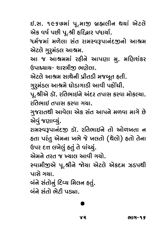\$.Y. 1967fiÛ√ f\.fiÛu µVÔË—… Z}Û√ #@ŸOË@ #@xO \_∆™ f©Â— f\.C— ˜w∑›Û∑ fAÛ}Û™.

ધર્મજમાં મળેલા સંત રામસ્વરૂપાનંદજીનો આશ્રમ<br>એટલે ગુરૂમંડલ આશ્રમ.

આ જ આશ્રમમાં રહીને આપણા મુ. મણિશંકર આ બ્રાગ્ર કરી છે.<br>ઉપાધ્યાય- શાસ્ત્રીજી ભણેલા.<br>ઉપાધ્યાય- શાસ્ત્રીજી ભણેલા.

એટલે આશ્રમ સાથેની પ્રીતડી મજબૂત હતી.<br>ગુરુમંડલ આશ્રમે ઘોડાગાડી આવી પહોંચી.

પૂ.શ્રીએ ડૉ. રતિભાઈને અંદર તપાસ કરવા મોકલ્યા. <u>રતિભાઈ તપાસ કરવા ગયા.</u>

ગુજરાતથી આવેલા એક સંત આપને મળવા માગે છે એવં જણાવ્યં.

રામસ્વરૂપાનંદજી ડૉ. રતિભાઈને તો ઓળખતા ન હતા પરંતુ એમના ખભે જે ખલતો (થેલો) હતો તેના ઉપર દત્ત લખેલું હતું તે વાંચ્યું.

એમને તરત જ ખ્યાલ આવી ગયો.

સ્વામીજીએ પૂ.શ્રીને જોચા એટલે એકદમ ઝડપથી ોગે ગયા

બંને સંતોનું દિવ્ય મિલન હતું. બંને સંતો ભેટી પડ્યા

µ√…@ Y√EÛ@ I@ŸO— fgÛ.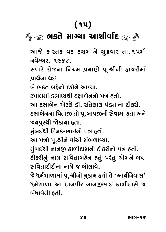### $\sqrt{15}$  $\frac{1}{2}$

આજે કારતક વદ દશમ ને શુક્રવાર તા.૧૫મી<br>નવેમ્બર, ૧૯૬૮.

સવારે રોજના નિચમ પ્રમાણે પૂ.શ્રીની હાજરીમાં પ્રાઈના શઈ.

બે ભકત બહેનો દર્શને આવ્યા.

ટપાલમાં ડભાણથી દક્ષાબેનનો પત્ર હતો.

આ દક્ષાબેન એટલે ડૉ. રતિલાલ પંડ્યાના દીકરી. દક્ષાબેનના પિતાજી તો પૂ.બાપજીની સેવામાં હતા અને જચપુરથી જોડાચા હતા.

મુંબઈથી દિનકરભાઈનો પત્ર હતો.

આ પત્રો પૂ.શ્રીને વાંચી સંભળાવ્યા.

મુંબઈથી નાનજી કાળીદાસની દીકરીનો પત્ર હતો.

ુ ……………………………………<br>દીકરીનું નામ સવિતાબહેન હતું પરંતુ એમને બધા<br>સવિતાદીદીના નામે જ બોલાવે

Yw\_EÛpO—pO—…Û …Ûfi@ QÂ µÛ@ËÛ\_@. QÂ@ Afi™BÛ¥ÛfiÛ√ f\.C—…Û@ fi⁄xOÛfi ˜EÛ@ E@ **'**#Û}™w…\_ÛY**'** ધર્મશાળા આ દાનવીર નાનજીભાઈ કાળીદાસે જ બંધાવેલી હતી.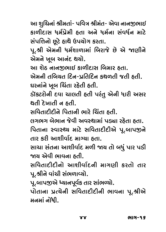્<br>કાળીદાસ ધર્મપ્રેમી હતા અને ધર્મના સંવર્ધન માટે<br>સંપત્તિનો છુટે ઠાશે ઉપણોગ કરતા

………ूूूू…………………<br>પૂ.શ્રી એમની ધર્મશાળામાં બિરાજે છે એ જાણીને<br>એમને ખૂબ આનંદ શરો એમને ખૂબ આનંદ થયો.<br>આ શેઠ નાનજીભાઈ કાળીદાસ બિમાર હતા.

એમની તબિચત દિન-પ્રતિદિન કથળતી જતી હતી. ઘરનાંને ખૂબ ચિંતા રહેતી હતી.

……<br>ડૉકટરોની દવા ચાલતી હતી પરંતુ એની ધારી અસર<br>શતી કેખાતી ન હતી

સવિતાદીદીને પિતાની ભારે ચિંતા હતી.

લગભગ બેભાન જેવી અવસ્થામાં પડ્યા રહેતા હતા.

પિતાના સ્વાસ્થ્ય માટે સવિતાદીદીએ પૂ.બાપજીને તાર કરી આશીર્વાદ માગ્યા હતા.

.<br>સાચા સંતના આશીર્વાદ મળી જાચ તો બધું પાર પડી<br>જાગ એવી ભાવના કતી

સવિતાદીદીનો આશીર્વાદની માગણી કરતો તાર પૂ.શ્રીને વાંચી સંભળાવ્યો.

્ર<br>પૂ.બાપજીએ ધ્યાનપૂર્વક તાર સાંભળ્યો.<br>પોતાના પત્ચેની સવિતાદીદીની ભા

મનમાં નોંધી.  $\sim$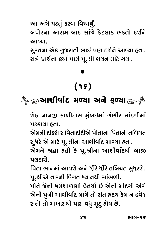આ અંગે ઘટતું કરવા વિચાર્યું.<br>બપોરના આરામ બાદ સાંજે કેટલાક ભક્તો દર્શને ∑NFÛR WEDDAG XI DOOEN YN DODG YN DODG YN DIWLL YN YN DIWL<br>DINODI

સુરતના એક ગુજરાતી ભાઈ પણ દર્શને આવ્યા હતા. રાત્રે પ્રાર્થના કર્યા પછી પૂ.શ્રી શચન માટે ગચા.  $\tilde{\mathcal{L}}$ 

### $(95)$  $\sqrt{2}$

## $\frac{1}{2}$

શેઠ નાનજી કાળીદાસ મુંબઈમાં ગંભીર માંદગીમાં<br>પટકાચા ઠતા.

એમની દીકરી સવિતાદીદીએ પોતાના પિતાની તબિચત .<br>સુધરે એ માટે પૂ.શ્રીના આશીર્વાદ માગ્યા હતા.<br>એમને સુહ્યુ હતી કે પ શ્રીના આશીર્વાદશી બાજા

એમને શ્રદ્ધા હતી કે પૂ.શ્રીના આશીર્વાદથી બાજી<br>પલટાશે

્………<br>પિતા ભાનમાં આવશે અને ધીરે ધીરે તબિચત સુધરશે.<br>પ શ્રીએ તારતી વિગત ધ્યાનશી સાંભળી પૂ.શ્રીએ તારની વિગત ધ્યાનથી સાંભળી.

પોતે જેની ધર્મશાળામાં ઉતર્ચા છે એની માંદગી અંગે<br>એની પુત્રી આશીર્વાદ માગે તો સંત હૃદચ કેમ ન દ્રવે? #@…— f⁄L— #ÛB—\_Û™pO fiÛ"@ EÛ@ Y√E ΩpO} x@Ofi … ß\_@? Y√EÛ@ EÛ@ fiÛ«oZ— fo \_A⁄ fiÈp ⁄O ˜Û@} ©Â@.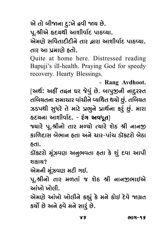એ તો બીજાના દુ:ખે દ્રવી જાચ છે.<br>પૂ.શ્રીએ હૃદચથી આશીર્વાદ પાઠવ્યા.

એમણે સવિતાદીદીને તાર હ્રારા આશીર્વાદ પાઠવ્યા. તાર આ પ્રમાણે હતો.

Quite at home here. Distressed reading Bapuji's ill-health. Praying God for speedy recovery. Hearty Blessings.

- **Rang Avdhoot.**

[અર્થ: અહીં તદ્દન ઘર જેવું છે. બાપુજીની નાદુરસ્ત<br>તબિચતના સમાચાર વાંચીને વ્યથિત થચો છું. તબિચત .<br>ઝડપથી સુધરે તે માટે પ્રભુને પ્રાર્થના કરું છું. મારા<br>કૃદચના આશીર્વાદ - રંગ અવધત્વો હૃદચના આશીર્વાદ. - **રંગ અવધૂત**]<br>જ્યારે પૂ.શ્રીનો તાર મળ્યો ત્યારે શેઠ શ્રી નાનજી

કાળિદાસ બેભાન હતા અને ચાર-પાંચ ડૉકટરો બેઠા xow xow xow you you was do you want and usual ware.<br>Soll

ડૉકટરો મૂંઝવણ અનુભવતા હતા કે શું દવા આપી ¤OÛø®ŸO∑Û@ fi\√•\_o #…⁄I\_EÛ ˜EÛ x@O B⁄√ pO\_Û #Ûf—

એમની મૂંઝવણ મટી ગઈ.

પૂ.શ્રીનો તાર મળતાં જ શેઠ શ્રી નાનજીભાઈએ આંખો ખો**લી** 

એમણે આંખો ખોલીને કહ્યું કે મને કોઈ દેવે જાગ્રત  $\frac{1}{2}$  of the finite finite finite summary  $\frac{1}{2}$  and  $\frac{1}{2}$  finites  $\overline{a}$ 

γS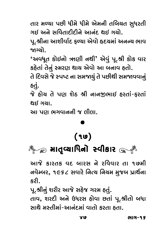તાર મળ્યા પછી ધીમે ધીમે એમની તબિચત સુધરતી<br>ગઈ અને સવિતાદીદીને આનંદ શઈ ગયો.

પૂ.શ્રીના આશીર્વાદ ફળ્યા એવો હૃદયમાં અનન્ય ભાવ for a world and the following the contract of the contract of the set of the contract of the contract of the contract of the contract of the contract of the contract of the contract of the contract of the contract of the

<sup>'</sup>અવધૂત કોઈનો ઋણી નથી' એવું પૂ.શ્રી કોક વાર<br>કઠેતાં તેનું સ્મગગ શણ એવો આ બનાવ ઠતો

કહેતાં તેનું સ્મરણ થાચ એવો આ બનાવ હતો.<br>તે દિવસે જે સ્પષ્ટ ના સમજાયું તે પછીથી સમજાવવાનું  $\mathbb{R}$ 

હતું.<br>જે હોચ તે પણ શેઠ શ્રી નાનજીભાઈ હરતાં-ફરતાં  $Q[\boldsymbol{\beta}]$   $Q[\boldsymbol{\beta}]$ 

આ પણ ભગવાનની જ લીલા.  $\mathcal{L}^{\mathcal{L}}$ 

## $(90)$

### $\sqrt{2}$ .<br>|}||<br>|}|

<u>નવેમ્બર, ૧૯૬૮ સવારે નિત્ય નિચમ મુ</u>જબ પ્રાર્થના  $\mathbf{e}$ , 1968 You $\mathbf{e}$ 

પૂ.શ્રીનું શરીર આજે સહેજ ગરમ હતું.

f\.C—…⁄√ B∑—∑ #ÛQÂ@ Y˜@QÂ "∑fi ˜E⁄√. EÛ\_, B∑pO— #…@ &A∑Y ˜Û@\_Û ©ÂEÛ√ f\.C—EÛ@ µAÛ  $\mathcal{L}^{(1)}$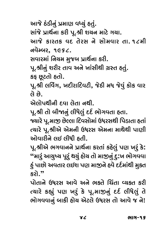આજે ઠંડીનું પ્રમાણ વધ્યું હતું.<br>સાંજે પ્રાર્થના કરી પૂ.શ્રી શચન માટે ગયા.

આજે કારતક વદ તેરસ ને સોમવાર તા. ૧૮મી  $\sigma$ વેમ્બર, ૧૯૬૮.

સવારમાં નિચમ મુજબ પ્રાર્થના કરી.

પૂ.શ્રીનું શરીર તાવ અને ખાંસીથી ગ્રસ્ત હતું. કફ છૂટતો હતો.

~<br>પૂ.શ્રી લર્વિંગ, ખદીરાદિવટી, જેઠી મધ જેવું કોક વાર<br>તે હે

એલોપથીની દવા લેતા નથી.

પૂ.શ્રી તો બીજાનું લીધેલું દર્દ ભોગવતા હતા.<br>જ્યારે પ માજ છેલ્લા દિવસોમાં ઉધરસથી પિલ

જ્યારે પૂ.માજી છેલ્લા દિવસોમાં ઉધરસથી પિડાતા હતાં ત્યારે પૂ.શ્રીએ એમની ઉધરસ એમના માથેથી પાણી

ઓવારીને લઈ લીધી હતી.<br>પૂ.શ્રીએ ભગવાનને પ્રાર્થના કરતાં કહેલું પણ ખરું કે: …<br>"મારું આચુષ્ય પૂરું થયું હોય તો માજીનું દુ:ખ ભોગવવા<br>કં પાછો અવતાર લઈશ પાગ માજને કવે દર્દમાંથી મક્ત  $\frac{3}{2}$  for finite form for  $\frac{3}{2}$ . xO∑Û@.**"**

પોતાને ઉધરસ આવે અને ભક્તે ચિંતા વ્યકત કરી  $\epsilon$ ચારે કહ્યું પણ ખર્ં કે પૂ.માજીનું દર્દ લીધેલું તે ભોગવવાનું બાકી હોચ એટલે ઉધરસ તો આવે જ ને!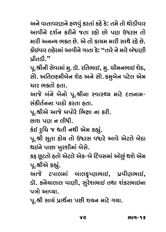.<br>આવીને દર્શન કરીને જતા રહો છો પણ ઉધરસ તો<br>મારી અનન્ટા ભક્ત છે એ તો કારામ મારી સાથે રહે છે ……<br>કોઈવાર લહેરમાં આવીને ગાતા કે: "તારે ને મારે બંધાણી<br>પીતડી "

પ્રીતડી."<br>પૂ.શ્રીની સેવામાં <u>મુ</u>. ડૉ. રતિભાઈ, મુ. ચીમનભાઈ શેઠ, સીે. અતિલક્ષ્મીબેન શેઠ અને સીે. કમુબેન પટેલ એમ ચાર ભકતો હતા.

આજે બંને બેનો પૂ.શ્રીના સ્વાસ્થ્ય માટે દત્તનામ-<u> સંકીર્તુ</u>ભના પાણુ કરવા હવા.

પૂ.શ્રીએ આજે બપોરે ભિક્ષા ના કરી.

f\.C—#@ #ÛQÂ@ µfÛ@∑@ wIÆÛ …Û xO∑—. ©ÂÛB fo … Ë—A—.

∽્<sub>ઝુ</sub>.<br>પૂ.શ્રી સૂતા હોય તો ઉધરસ વધારે આવે એટલે બેઠા<br>શહલિ પાછા ખરશીમાં લેચે થઇને પાછા ખુરશીમાં બેસે.<br>કફ છૂટતો હતો એટલે એક-બે દિવસમાં ઓછું થશે એમ

પૂ.શ્રીએ કહ્યં.

આજે ટપાલમાં બાલકૃષ્ણભાઈ, પ્રવીણભાઈ, ડૉ. કનેચાલાલ વાણી, સુરેશભાઈ તથા શંકરભાઈના પત્રો આવ્યા.

.<br>r isus **ا**له ن  $\sim$ 

YЄ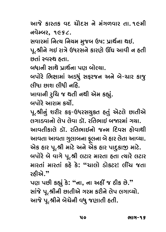આજે કારતક વદ ચૌદસ ને મંગળવાર તા.૧૯મી<br>નવેમ્બર. ૧૯૬૮.

સવારમાં નિત્ય નિયમ મુજબ ઉષ: પ્રાર્થના થઈ.

Y\_Û∑fiÛ√ w…'} w…}fi fi⁄Qµ &∆: fVÛZ™…Û Z\$. f\.C—…@ "\$ ∑ÛL@ &A∑Y…@ xOÛ∑o@ ≥>n #Û\_— … ˜E—

©ÂEÛ√ Õ\_ÕZ ˜EÛ. µAÛ…— YÛZ@ fVÛZ™…Û fo µÛ@º}Û.

બપોરે ભિક્ષામાં અડધું સફરજન અને બે-ચાર કાજ્

લીધા છાશ લીધી નહિ.<br>ખાવાની <u>રૂ</u>ચિ જ થતી નથી એમ કહ્યું.  $\overline{a}$   $\overline{a}$  and  $\overline{b}$   $\overline{c}$ 

પૂ.શ્રીનું શરીર કફ-ઉધરસચુકત હતું એટલે છાતીએ<br>લગાડવાનો લેપ લેવા ડૉ રુતિભાર્ડ(લજારમાં ગયા

આવતીકાલે ડૉ. રતિભાઈનો જન્મ દિવસ ઠોવાથી આવતા આવતા ગુલાબના કુલના બે હાર લેતા આવ્યા. એક ઠાર પ.શ્રી માટે અને એક ઠાર પાદકાજી માટે.<br>એક ઠાર પ.શ્રી માટે અને એક ઠાર પાદકાજી માટે. બપોરે બે વાગે પૂ.શ્રી લટાર મારતા હતા ત્યારે લટાર

મારતાં મારતાં કહે કે: "ચાલો ડોકટર! લીંચ જતા<br>રૂકીએ " રઠીએ.<sup>"</sup>

પણ પછી કહ્યું કે**: ''ના, ના અહીં જ ઠીક છે.''**<br>સાંજે પૂ.શ્રીની છાતીએ ગરમ કરીને લેપ લગાવ્યો. આજે પૂ.શ્રીને બેચેની વધુ જણાતી હતી.<br>આજે પૂ.શ્રીને બેચેની વધુ જણાતી હતી.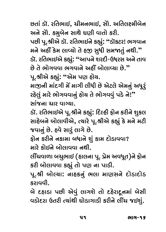છતાં ડૉ. રતિભાઈ, ચીમનભાઈ, સોે. અતિલક્ષ્મીબેન<br>અને સોે. કમુબેન સાથે ઘણી વાતો કરી. #…@ YÛ≠. xOfi⁄µ@… YÛZ@ no— \_ÛEÛ@ xO∑—. f©Â— f\.C—#@ ¤OÛø. ∑wEIÛ\$…@ xO·⁄√: **"**¤OÛø®ŸO∑! I"\_Û… મને અહીં કેમ લાવ્યો તે હજી સુધી સમજાતું નથી." ડૉ. રતિભાઈએ કહ્યું: "આપને શરદી-ઉધરસ અને તાવ ©Â@ E@ IÛ@"\_\_Û I"\_Û…@ #˜—> µÛ@ËÛ[}Û ©Â@.**"** પૂ.શ્રીએ કહ્યું: "એમ પણ **હો**ચ.

માજીની માંદગી મેં માગી લીધી છે એટલે એમનું અધૂરૃં રહેલું મારે ભોગવવાનું હોચ તે ભોગવવું પડે ને!"<br>સાંજના ચાર વાગ્યા

ડૉ. રતિભાઈએ પૂ.શ્રીને કહ્યું: દિલ્હી ફોન કરીને <u>શુ</u>કલ સાહેબને બોલાવીએ, ત્યારે પૂ.શ્રીએ કહ્યું કે મને મટી જવાનું છે. હવે સારું લાગે છે.

્<br>ફોન કરીને નકામા બધાને શું કામ દોડાવવા?<br>મારે કોઈબે બોલાવવા નથી

fiÛ∑@ xOÛ@\$…@ µÛ@ËÛ\_\_Û …Z—. Ë—>{\_Û¥Û µ{⁄IÛ\$ (˜ÛË…Û f\. fV@fi #\_A\E)…@ lÛ@…

ા જ્ઞી બાૃહ્યા. વાદદવ ખેલા ત્રાણ:<br>∼  $\frac{c}{c}$ 

બે દહાડા પછી એવું લાગશે તો દહેરાદૂનમાં બેસી µ@ pO˜Û¤OÛ f©Â— #@\_⁄√ ËÛ"B@ EÛ@ pO˜@∑Ûp\O…fiÛ√ µ@Y—  $\mathcal{O}_{\mathcal{O}}$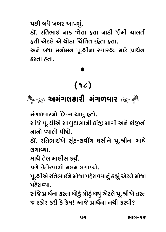પછી બધે ખબર આપશું.

ડૉ. રતિભાઈ નાડ જોતા હતા નાડી ધીમી ચાલતી<br>હતી એટલે એ થોડા ચિંતિત રહેતા હતા.

~…<br>અને બધા મનોમન પૂ.શ્રીના સ્વાસ્થ્ય માટે પ્રાર્થના<br>કરતા કતા xO∑EÛ ˜EÛ.

## ์<br>( ใ ๔ )<br>- ^ #fi√"ËxOÛ∑— fi√"¥\_Û∑

 $\frac{1}{2}$ ia lhouz upo kole wede  $\frac{1}{2}$ ان المسرى الثارة الصري નાનો પ્યાલો પીધો.<br>ડૉ. રતિભાઈએ સૂંઠ-લવીંગ ઘસીને પૂ.શ્રીના માથે

¤OÛø. ∑wEIÛ\$#@ Y\√sO-Ë\_—>" nY—…@ f\.C—…Û fiÛZ@

માથે તેલ માલીસ કર્યું.

પગે ઇંદોરવાળો મલમ લગાવ્યો.

પૂ.શ્રીએ રતિભાઈને મોજા પહેરાવવાનું કહ્યું એટલે મોજા પ્રઠેરાવ્યા.

સાંજે પ્રાર્થના કરતા થોડું મોડું થયું એટલે પૂ.શ્રીએ તરત જ ટકોર કરી કે કેમ! આજે પાઈના નથી કરવી? QÂ ŸOxOÛ@∑ xO∑— x@O x@Ofi! #ÛQÂ@ fVÛZ™…Û …Z— xO∑\_—?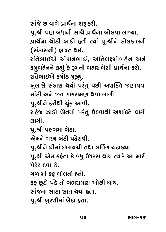,<br>પૂ.શ્રી પણ બંધાની સાથે પ્રાર્થના બોલવા લાગ્યા.<br>પાર્થના શોડી બાકી કતી ત્યાં પ શ્રીને ડોલડાલ પ્રાર્થના થોડી બાકી હતી ત્યાં પૂ.શ્રીને ડોલડાલની<br>(સંડાસની) હાજત થઇ.

રતિભાઈએ ચીમનભાઈ, અતિલક્ષ્મીબહેન અને કમુબદેનને કહ્યું કે રૂમની બહાર બેસી પ્રાર્થના કરો. રતિભાઈએ કમોડ મૂક્યું.

ખુલાસે સંડાસ થયો પરંતુ પછી અશક્તિ જણાવવા <u>માંડી અને જરા ગભરામણ થવા લાગી.</u>

પૂ.શ્રીને ફરીથી ચૂંક આવી.

 $\int\limits_{\mathcal{A}}^{\infty}\mathrm{d}\sigma\,d\sigma$ הר הכור של  $\mathcal{S}$ 

પૂ.શ્રી પલંગમાં બેઠા.

એમને ગરમ બંડી પઠેરાવી.

પૂ.શ્રીને ધીમાં ઈલાચચી તથા લર્વિંગ ચટાડ્યા.

ૂ<br>પૂ.શ્રી એમ કઠેતા કે વધુ ઉધરસ થાચ ત્યારે આ મારી<br>પેટંટ દવા છે

ગળામાં કફ બોલતો હતો.

કફ છૂટો પડે તો ગભરામણ ઓછી થાય.

સાંજના સાડા સાત થયા હતા.

ા શ્વી પર પાસી છે આ પણ<br>આ પણ જોડા હતા  $\begin{bmatrix} \kappa & \omega & \cdots & \kappa \end{bmatrix}$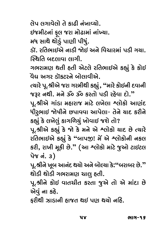લેપ લગાવેલો તે કાઢી નંખાવ્યો.

ઈજમીટનાં ફલ જરા મોઢામાં નાંખ્યા.

\$QÂfi—ŸO…Û√ l\ Ë QÂ∑Û fiÛ@JOÛfiÛ√ …Û√ˆ}Û. fiA YÛZ@ ZÛ@¤⁄√O fÛo— f—A⁄√.

<u>સ્થિતિ બદલાવા લાગી.</u>

ગભરામણ થતી હતી એટલે રતિભાઈએ કહ્યું કે કોઈ <u>વેદ્ય અગર ડૉકટરને બોલાવીએ.</u>

્<br>ત્યારે પૂ.શ્રીએ જરા ગરમીથી કહ્યું , "મારે કોઈની દવાની<br>જરૂર નથી . મને ૐ ૐ ફરતો પડી રહેલા દો <sup>?</sup>'

જરૂર નથી. મને ૐ ૐ કરતો પડી રહેવા દો."<br>પૂ.શ્રીએ ગાંડા મહારાજ માટે લખેલા શ્લોકો આણંદ ્<br>ધીરુભાઈ જોષીને છપાવવા આપેલા- તેને ચાદ કરીને<br>કહ્યું કે લખેલું કાગળિગું ખોવાડા જશે તો?

કહ્યું કે લખેલું કાગળિચું ખોવાઇ જશે તો?<br>પૂ.શ્રીએ કહ્યું કે જો કે મને એ શ્લોકો ચાદ છે ત્યારે ્ર<br>રતિભાઈએ કહ્યું કે "બાપજી! મેં એ શ્લોકોની નકલ<br>ટ્રી ગામી મૂકી છે " (આ શ્લોકો માટે જઓ ટ્રાઈટલ કરી, રાખી મૂકી છે." (આ શ્લોકો માટે જુઓ ટાઇટલ<br>પેજ નં. ૩)

પૂ.શ્રીને ખૂબ આનંદ થયો અને બોલ્યા કે:"બરાબર છે."<br>શો≤ી શો≤ી ગ્રભગમાગ રાાલ હતી

થોડી થોડી ગભરામણ ચાલુ હતી.<br>પૂ.શ્રીને કોઈ વાતચીત કરતા જુએ તો એ માંદા છે એવું ના કહે.

ફરીથી ઝાડાની હાજત થઈ પણ થયો નહિ. l∑—Z— •∑© ⊙∑⊙⊙∑© ∑

૫૪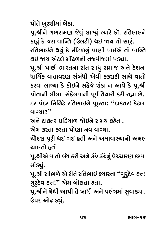પોતે ખુરશીમાં બેઠા.<br>પૂ.શ્રીને ગભરામણ જેવું લાગ્યું ત્યારે ડૉ. રતિલાલને કહ્યું કે જરા વાન્તિ (ઉલટી) થઇ જાય તો સારૃં. રતિભાઈને થયું કે મીંઢળનું પાણી પાઈએ તો વાન્તિ 28/ જાચ એટલે મીંઢળની તજવીજમાં પડ્યા. .<br>પૂ.શ્રી પાછી ભારતના સંત સાધુ સમાજ અને દેશના<br>ધાર્મિક વાતાવગગ સંબંધી એવી કુકગૂટી સાથે વાતો ધાર્મિક વાતાવરણ સંબંધી એવી કકરાટી સાથે વાતો<br>કરવા લાગ્યા કે કોઈને સહેજે શંકા ન આવે કે પૂ.શ્રી પોતાની લીલા સંકેલવાની પૂર્વ તૈયારી કરી રહ્યા છે. દર પંદર મિનિટે રતિભાઈને પૂછતા: "દાકતર! કેટલા<br>વાગ્યા?" વાગ્યા?"<br>અને દાકતર ઘડિચાળ જોઈને સમય કઠેતા.

એમ કરતા કરતા પોણા નવ વાગ્યા.

ચોદસ પૂરી થઈ ગઈ હતી અને અમાવાસ્ચાનો અમલ ચાલતો હતો.

પૂ.શ્રીએ વાતો બંધ કરી અને ૐ ૐનું ઉચ્ચારણ કરવા<br>માંડ્યું

…- ુ.<br>પૂ.શ્રી સાંભળે એ રીતે રતિભાઈ ક્યારના "ગુરુદેવ દત્ત!<br>ગરૂદેવ *દત્ત\*" એમ બોલતા હતા ગુર્**દેવ દત્ત!" એમ બોલતા હતા.** 

પૂ.શ્રીને મેથી આપી તે ખાધી અને પલંગમાં સુવાડ્યા. ઉપર ઓઢાડ્યું.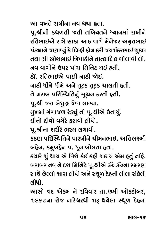આ વખતે રાત્રીના નવ થયા હતા.

,<br>પૂ.શ્રીની કથળતી જતી તબિચતને ધ્ચાનમાં રાખીને<br>રતિભાઈએ રાત્રે સાડા આઠ વાગે મેતેજર અમતભાઈ રતિભાઈએ રાત્રે સાડા આઠ વાગે મેનેજર અમૃતભાઈ<br>પંડ્યાને જણાવ્યું કે દિલ્હી ફોન કરી જયશંકરભાઈ શુક્લ f√gÛ…@ QÂoÛ[}⁄√ x@O wpOº˜— lÛ@… xO∑— QÂ}B√xO∑IÛ\$ B⁄®Ë નવ વાગીને ઉપર પાંચ મિનિટ થઈ હતી. ો.. રતિભાર્થએ પાછી નાડી જોઈ ¤OÛø. ∑wEIÛ\$#@ f۩— …Û¤O— @\$. …Û¤O— A—fi@ A—fi@ #…@ E\ŸOxO E\ŸOxO {ÛËE— ˜E—. તે ખરાબ પરિસ્થિતિનું સૂચન કરતી હતી.<br>પૂ.શ્રી જરા બેશુદ્ધ જેવા લાગ્યા. મુખમાં ગંગાજળ રેડ્યું તો પૂ.શ્રીએ ઉતાર્યું. ુ<br>ધીનો દીવો વગેરે કરાવી લીધો.<br>૫ શ્રીના શૂરીરે ભસ્મ લગાવી પૂ.શ્રીના શરીરે ભસ્મ લગાવી.<br>કઠણ પરિસ્થિતિને પારખીને ચીમનભાઈ, અતિલક્ષ્મી xOsOo fw∑»ÕZwE…@ fÛ∑«—…@ {—fi…IÛ\$, #wEËKfi— µ˜@…, xOfi⁄µ˜@… \_. A\… µÛ@ËEÛ ˜EÛ. કચારે શું થાચ એ વિશે કંઈ કહી શકાચ એમ હતું નહિ.<br>બરાબર નવ ને દશ મિનિટે પૂ.શ્રીએ ૐ ૐના સ્મરણ µ∑Ûµ∑ …\_ …@ pOB wfiw…Ÿ@O f\.C—#@ ¿ ¿…Û Õfi∑o YÛZ@ ©Â@ºËÛ@ UÛY Ë—AÛ@ #…@ ÕZ\¥ p@O˜…— Ë—ËÛ Y√x@OË— લીધી.<br>આસો વદ એકમ ને રવિવાર તા.૭મી ઓકટોબર,

i …<br>√<br>√  $\frac{1}{\alpha}$ 

ų5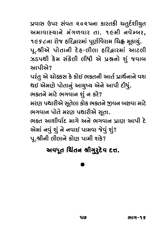પ્રવાસ ઉપર સંવત ૨૦૨૫ના કારતકી ચતુર્દશીચુત<br>અમાવાસ્ચાને મંગળવાર તા. ૧૯મી નવેમ્બર.  $\frac{1}{2}$ ી કરવા રોજ દરિફ્રારમાં પૂર્ણવિરામ ચિહ્ન મૂકાચું.<br>1968 ટના રોજ દરિફ્રારમાં પૂર્ણવિરામ ચિહ્ન મૂકાચું.<br>1968 ટના પોતાની કે ક-લીલા કરિલારમાં આરલી ~<br>ઝડપથી કેમ સંકેલી લીધી એ પ્રશ્નનો શું જવાબ<br>આપીએ?

પરંતુ એ ચોક્કસ કે કોઈ ભકતની આર્ત પ્રાર્થનાને વશ f∑√E⁄ #@ {Û@<OY x@O xOÛ@\$ I®E…— #ÛE™ fVÛZ™…Û…@ \_B Z\$ #@fio@ fÛ@EÛ…⁄√ #Û}⁄≈} #@…@ #Ûf— pO—A⁄√. ભકતને માટે ભગવાન શું ન કરે?<br>મરણ પથારીએ સૂતેલા કોક ભકતને જીવન બક્ષવા માટે ભગવાન પોતે મરણ પથારીએ સૂતા. ભકત આશીર્વાદ માગે અને ભગવાન પ્રાણ આપી દે એમાં નવું શું ને નવાઈ પામવા જેવું શું? પૂ.શ્રીની લીલાને કોણ પામી શકે?  $\sim$   $\sim$   $\sim$   $\sim$   $\sim$   $\sim$   $\sim$ 

## અવધૂત <mark>ચિંતન શ્રીગુ્</mark>ર્ટ્ટવ દત્ત.

# .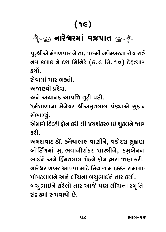## $\frac{1}{2}$ …Û∑@U∑fiÛ√ \_ÃfÛE

પૂ.શ્રીએ મંગળવાર ને તા. ૧૯મી નવેમ્બરના રોજ રાત્રે<br>નવ કલાક ને દશ મિનિટે (ક.૯ મિ. ૧૦) દેહત્યાગ  $\sum_{x \in \mathcal{X}}$ 

સેવામાં ચાર ભકતો.

અજાણ્યો પ્રદેશ.

અને અચાનક આપત્તિ તૂટી પડી.

#…@ #{Û…xO #Ûfw˙ E\ŸO— f¤O—. <sup>A</sup>fi™BÛ¥Û…Û fi@…@QÂ∑ C—#fiÈEËÛË f√gÛ#@ Y⁄xOÛ…

સંભાળ્યું.<br>એમણે દિલ્હી ફોન કરી શ્રી જચશંકરભાઈ શુકલને જાણ #@fio@ wpOº˜— lÛ@… xO∑— C— QÂ}B√xO∑IÛ\$ B⁄®Ë…@ o

અમદાવાદ ડૉ. કનેચાલાલ વાણીને, વડોદરા લુહાણા લોઈિંગમાં મુ. ભવાનીશંકર શાસ્ત્રીને, કમુબેનના ભાઈને અને દિંમતલાલ શેઠને કોન દ્વારા જાણ કરી. વારેશ્વર ખબર આપવા માટે મિચાગામ ઠક્કર રામલાલ પોપટલાલને અને લીંચના બચુભાઈને તાર કર્યો. બચુભાઈને કરેલો તાર આજે પણ લીંચના સ્મૃતિ- $\dot{x}$ ည်။ အသင်္ဘူးများ အဲ Y√"V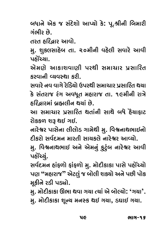બધાને એક જ સંદેશો આપ્યો કે: પૂ.શ્રીની બિમારી<br>ગંભીર છે

ાંગાન્દ દારુદીર **ા**રા

E∑E<br>E∑E  $\frac{1}{2}$  e û. 20fi— eû. 20fi— eû. 20fi— Yeû∑

એમણે આકાશવાણી પરથી સમાચાર પ્રસારિત <u>કરવાની વ્યવસ્થા કરી.</u>

સવારે નવ વાગે રેડિયો ઉપરથી સમાચાર પ્રસારિત થયા Y\_Û∑@ …\_ \_Û"@ ∑@w¤O}Û@ &f∑Z— YfiÛ{Û∑ fVYÛw∑E Z}Û x@O Y√E∑ÛQÂ ∑√" #\_A\E fi˜Û∑ÛQÂ EÛ. 19fi—…— ∑ÛL@

~ ∽.<br>આ સમાચાર પ્રસારિત થતાંની સાથે બધે હૈચાફાટ<br>ગેકકળ શરૂ શહા ગ્રહ

રોકકળ શરૂ થઈ ગઈ.<br>નારેશ્વર પાસેના લીલોડ ગામેથી મુ. વિશ્વનાથભાઈનો દીકરો સર્વદમન મારતી સાચકલે નારેશ્વર આવ્યો.

મુ. વિશ્વનાથભાઈ અને એમનું કુટુંબ નારેશ્વર આવી fi⁄. w\_U…ÛZIÛ\$ #…@ #@fi…⁄√ x⁄OŸ⁄√Oµ …Û∑@U∑ #Û\_—

પહોંચ્યું.<br>સર્વદમન હાંફળો ફાંફળો મુ. મોદીકાકા પાસે પહોંચ્યો Y\_™pOfi… ˜Û√l¥Û@ lÛ√l¥Û@ fi⁄. fiÛ@pO—xOÛxOÛ fÛY@ f˜Û@> }Û@ fo **"**fi˜Û∑ÛQÂ**"** #@ŸOË⁄√ Q µÛ@Ë— B®}Û@ #…@ f©Â— fÛ@xO

્<br>મુ. મોદીકાકા ઊભા થવા ગયા ત્યાં એ બોલ્યો: 'ગયા'.<br>મ**્મોદીકાકા શન્ટા મનસ્ક શ**ાર્ડ ગયા - ડઘાર્ડા ગયા

મુ. મોદીકાકા શૂન્ય મનસ્ક થઈ ગયા, ડઘાઈ ગયા.

чe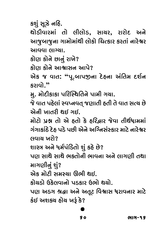કશું સૂઝે નહિે.<br>થોડીવારમાં તો લીલોડ. સાચર. રારોદ અને આજુબાજુના ગામોમાંથી લોકો ચિત્કાર કરતાં નારેશ્વર આવવા લાગ્યા.

કોણ કોને છાનું રાખે?

કોણ કોને આશ્વાસન આપે?

<sub>.</sub><br>એક જ વાત: "પૂ.બાપજીના દેહના અંતિમ દર્શન<br>કગવો " કરાવો."<br><u>મુ</u>. મોદીકાકા પરિસ્થિતિને પામી ગયા.

જે વાત પહેલાં સ્વપ્નવત્ જણાતી હતી તે વાત સત્ય છે એ**લી ખા**તરી શર્દા ગર્દા

.<br>મોટો પ્રશ્ન તો એ હતો કે હરિદ્વાર જેવા તીર્થધામમાં<br>ગંગાકાંઠે કેઠ પડે પછી એને અગ્નિસંસ્કાર માટે નારેશ્વર  $\alpha$ uang may $\alpha$ 

.<br>શાસ્ત્ર અને ધર્મપંડિતો શું કહે છે?<br>રાણ સાથે સાથે ભક્તોની ભાવના

માગણીનું શું?

એક મોટી સમસ્ચા ઊભી થઈ.

કોચડો ઉકેલવાનો પડકાર ઉભો થયો.

xOÛ@}¤OÛ@ &x@OË\_Û…Û@ f¤OxOÛ∑ &IÛ@ Z}Û@. fo #¤O" CWÛ #…@ #E\ŸO w\_UÛY A∑Û\_…Û∑ fiÛŸ@O x√O\$ #B®} ˜Û@} «T√ x@O?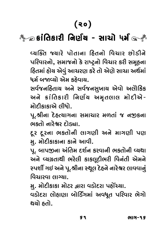## $\frac{1}{2}$ ક્રાં<mark>તિકારી નિર્ણય - સાચો</mark> ધ<mark>ર્</mark>મ

પરિવારનો, સમાજનો કે રાષ્ટ્રનો વિચાર કરી સમૂહના હિતમાં હોચ એવું આચરણ કરે તો એણે સાચા અર્થમાં ~~<br>ધર્મ બજાવ્યો એમ કઠેવાચ.<br>સર્વજનઠિતાગ અને સર્વજનસામાગ એવો અવૌદિદ

સર્વજનદિતાચ અને સર્વજનસુખાચ એવો અલૌકિક<br>અને ક્રાંતિકારી નિર્ણય અમૃતલાલ મોદીએ-#…@ ∏OÛ√wExOÛ∑— w…o™} #fiÈEËÛË fiÛ@pO—#@- fiÛ@pO—xOÛxOÛ#@ Ë—AÛ@.

પૂ.શ્રીના દેહત્યાગના સમાચાર મળતાં જ નજીકના<br>ભક્તો નારેશ્વર દોડ્યા

દૂર દૂરના ભકતોની લાગણી અને માગણી પણ મુ. મોદીકાકાના કાને આવી.

પૂ. બાપજીના અંતિમ દર્શન કરવાની ભકતોની વ્યથા અને વ્યગ્રતાથી ભરેલી કાકલૂદીભરી વિનંતી એમને સ્પર્શી ગઈ અને પૂ.શ્રીના સ્થૂલ દેહને નારેશ્વર લાવવાનું િવિચારવા લાગ્યા.

મુ. મોદીકાકા મોટર દ્વારા વડોદરા પહોંચ્યા.

્ર<br>વડોદરા લોહાણા બોર્ડિંગમાં અવધૂત પરિવાર ભેગો<br>શરો હતો Z}Û@ ˜EÛ@.

S٩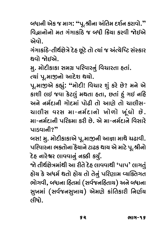બધાની એક જ માગ: "પૂ.શ્રીના અંતિમ દર્શન કરાવો." વિદ્વાનોનો મત ગંગાકાંઠે જ બધી ક્રિયા કરવી જોઇએ<br>એવો

…<br>⊋⊔cic  $\mathfrak{p}$ (c) of  $\mathfrak{p}$ 

મુ. મોદીકાકા સમગ્ર પરિવારનું વિચારતા હતાં.

ત્યાં પૂ.માજીનો આદેશ થયો.

∙… ૂ…<br>પૂ.માજીએ કહ્યું: "મોદી! વિચાર શું કરે છે? મને એ<br>કાશી લઈ જવા કેટલું મુશતા કતા. છતાં કું ગઈ નકિ કાશી લઈ જવા કેટલું મથતા હતા, છતાં હું ગઈ નહિ<br>અને નર્મદાની ગોદમાં પોઢી તો આણે તો ચાલીસ $u$ lલીસ વરસ મા-નર્મદાનો ખોળો ખૂંઘો છે. મા-નર્મદાની પરિક્રમા કરી છે. એ મા-નર્મદાને વિસારે r<br>પાડવાની?"<br>બસ! માસોદીકાકાએ પાસાજીની આવા માથે રાટાવી

બસ! મુ. મોદીકાકાએ પૂ.માજીની આજ્ઞા માથે ચઢાવી.<br>પરિવારના ભક્તોના હૈચાને ટાઢક થાચ એ માટે પૂ.શ્રીનો દેહ નારેશ્વર લાવવાનું નક્કી કર્યું.

—<br>જો તીર્થક્ષેત્રમાંથી આ રીતે દેહ લાવવાથી 'પાપ' લાગતું<br>હોય કે અધર્મ થતો હોય તો તેનું પગિયામ લ્યક્તિગત હોચ કે અધર્મ થતો હોચ તો તેનું પરિણામ વ્યક્તિગત ભોગવી, બધાના હિતમાં (સર્વજનહિતાચ) અને બધાના<br>સુખમાં (સર્વજનસુખાચ) એમણે ક્રાંતિકારી નિર્ણય Y⁄«fiÛ√ (Y\_™QÂ…Y⁄«Û}) #@fio@ ∏OÛ√wExOÛ∑— w…o™}  $f$ નીધો.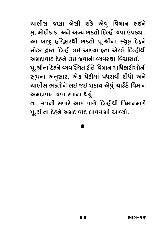ચાલીસ જણા બેસી શકે એવું વિમાન લઈને<br>મુ. મોદીકાકા અને અન્ય ભકતો દિલ્હીજવા ઉપડ્યા. આ બાજુ હરિદ્વારથી ભકતો પૂ.શ્રીના સ્થૂલ દેહને મોટર દ્ભારા દિલ્હી લઈ આવ્યા હતા એટલે દિલ્હીથી

અમદાવાદ દેહને લઈ જવાની વ્યવસ્થા વિચારાઈ. , મોના દેહને વ્યવસ્થિત રીતે વિમાન અધિકારીઓની<br>સરાતા અનસાર . એક પ્રેટીમાં પ્રધગળી દીધો અને સૂચના અનુસાર, એક પેટીમાં પધરાવી દીધો અને<br>ચાલીસ ભકતોને લઈ જઈ શકાચ એવું ચાર્ટર્ડ વિમાન  $\overline{v}$  અમદાવાદ જવા રવાના થયું.

તા. ૨૧ની સવારે આઠ વાગે દિલ્હીથી વિમાનમાર્ગે  $\tilde{E}$  Photo included when  $\tilde{E}$  $\sim$ 

# .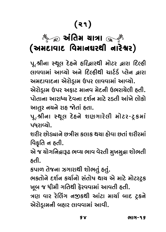# (21)  $\colon$  Galdas  $\sum_{i=1}^N$

પૂ.શ્રીના સ્થૂલ દેહને હરિદ્વારથી મોટર દ્વારા દિલ્હી<br>લાવવામાં આવ્યો અને દિલ્હીથી ચાર્ટર્ડ પ્લેન દ્વારા અમદાવાદના એરોડ્રામ ઉપર લાવવામાં આવ્યો.

એરોડ્રામ ઉપર અફાટ માનવ મેદની ઉભરાચેલી હતી. ્<br>પોતાના આરાધ્ય દેવના દર્શન માટે રડતી આંખે લોકો<br>આતર નચને ચહુ જોતાં હતા

 $\frac{3}{2}$  ……  $\frac{3}{2}$  $\int\limits_{\mathcal{C}}$  o  $\int\limits_{\mathcal{C}}$  both  $\int\limits_{\mathcal{C}}$ પધરાવ્યો.<br>શરીર છોડ્યાને છત્રીસ કલાક થયા હોવા છતાં શરીરમાં

 $\beta$ કૃતિ ન હતી.

એ જ ચોગનિદ્રારૂઢ ભવ્ય ભાવ વેરતી મુખમુદ્રા શોભતી #@ Q }Û@"w…ßÛTJO I[} IÛ\_ \_@∑E— fi⁄«fi⁄ßÛ BÛ@IE—

કપાળ તેજના ઝગારાથી શોભતું હતું.

ભકતોને દર્શન કર્યાનો સંતોષ થાય એ માટે મોટરટ્રક ા જ ધીમી ગતિથી ફેરવવામાં આવતી હતી.<br>આગ વાર રેલિંગ નજુકશી આંટા માર્ગ બાદ ટક્રને

 $\sum_{\alpha}$   $\sum_{\alpha}$  $\frac{1}{2}$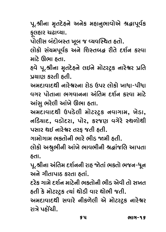પૂ.શ્રીના મૃતદેહને અનેક મહાનુભાવોએ શ્રદ્ધાપૂર્વક<br>કલહાર ચઢાવ્યા.

રૂ~~~~~~~~<br>પોલીસ બંદોબસ્ત

fÛ@Ë—Y µ√pOÛ@µÕE «\µ QÂ [}\_»ÕZE ˜EÛ@.  $\tilde{\mathbb{R}}$  and  $\tilde{\mathbb{R}}$  and  $\tilde{\mathbb{R}}$ 

હવે પૂ.શ્રીના મૃતદેહને લઈને મોટરટ્રક નારેશ્વર પ્રતિ  $\Lambda$ ha  $\Lambda$ sa fielb $\Lambda$ 

fV}Ûo xO∑E— ˜E—. #fipOÛ\_ÛpOZ— …Û∑@U∑…Û ∑Û@¤O &f∑ ËÛ@xOÛ@ «ÛAÛ-f—AÛ આંસ ભરેલી આંખે ઊભા હતા.

અમદાવાદથી ઉપડેલી મોટરટ્રક નવાગામ, ખેડા, #િક્યાદ, વડોદરા, પોર, કરજણ વગેરે સ્થળોથી પસાર થઈ નારેશ્વર તરફ જતી હતી.

ગામોગામ ભકતોની ભારે ભીડ જામી હતી.

લોકો અશ્રુભીની આંખે ભાવભીની શ્રદ્ધાંજલિ આપતા ËÛ@xOÛ@ #C⁄I—…— #Û√«@ IÛ\_I—…— CWÛ√QÂwË #ÛfEÛ

~<br>પૂ.શ્રીના અંતિમ દર્શનની રાહ જોતાં ભકતો ભજન-ધૂન<br>અને ગીતાપાદ કરતા હતાં

દરેક ગામે દર્શન માટેની ભક્તોની ભીડ એવી તો સખત હતી કે મોટરટ્રક ત્યાં થોડી વાર થોભી જતી.

અમદાવાદથી સવારે નીકળેલી એ મોટરટ્રક નારેશ્વર ોગે પહોંચી ∑ÛL@ f˜Û@>{—.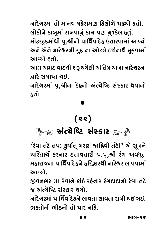નારેશ્વરમાં તો માનવ મઠેરામણ ઠિલોળે ચઢ્યો ઠતો. લોકોને કાબૂમાં રાખવાનું કામ પણ મુશ્કેલ હતું. મોટરટ્રકમાંથી પૂ.શ્રીનો પાર્થિવ દેહ ઉતારવામાં આવ્યો  $\epsilon$  joys find the found form of the position of the found  $\epsilon$  $\mathcal{L}^{(2)}$  . we have point  $\mathcal{L}^{(2)}$ 

આમ અમદાવાદથી શરૂ થચેલી અંતિમ ચાત્રા નારેશ્વરના  $\lambda$ રાઇ bulfik રીએ

مند عدد .<br>ما∩ الد الدد الم …Û∑@U∑fiÛ√ f\.C—…Û p@O˜…Û@ #√'}@w‰O Y√ÕxOÛ∑ Z\_Û…Û@ ˜EÛ@.

### (૨૨) ૈं ∕ ∞ અંત્યેષ્ટિ સંસ્કાર ા ઁ

'રેવા તટે તપ: ફર્ચાત્ મરણં જા**ફ્ષિ**વી તટે|' એ સૂત્રને 'રેવા તટે તપ<mark>:</mark> કુર્ચાત્ મરણં <mark>જાદ્ભિ</mark>વી તટે|' એ સૂત્રને<br>ચરિતાર્થ કરનાર દત્તાવતારી પ.પૂ.શ્રી રંગ અવધુત ચરિતાર્થ કરનાર દત્તાવતારી પ.પૂ.શ્રી રંગ અવધૂત<br>મુકારાજના પાર્શિવ કેફ્રને ફૂઝિલાર્શી નારેશ્વર લાવવામાં he∑ dan dawa∆ book dawada dawa dawa ku dawa dawa .<br>Dawa ∑w∑ dawa tu dawa tu dawa tu dawa ku dawa tu dawa tu dawa tu dawa tu dawa tu dawa tu dawa tu dawa tu dawa

જીવનભર મા-રેવાને કાંઠે રહેનાર રંગદાદાનો રેવા તટે  $\infty$  અંત્ચેષ્ટિર સંસ્કાર થચો

નારેશ્વરમાં પાર્થિવ દેહને લાવતા લાવતા રાત્રી થઈ ગઈ. ભકતોની ભીડનો તો પાર નહિ.  $\overline{\phantom{a}}$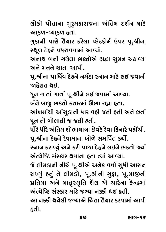લોકો પોતાના ગુરુમહારાજના અંતિમ દર્શન માટે<br>આફળ-વ્યાફળ હતા.

ગુફાની પાસે તૈયાર કરેલા પ્લેટફોર્મ ઉપર પૂ.શ્રીના ુ્……………………………<br>સ્થૂળ દેહને પધરાવવામાં આવ્યો.<br>અનાશ બની ગુગેલા ભક્તોએ શ્વઢા-સમન રાટાલ્યા

અનાથ બની ગચેલા ભક્તોએ શ્રદ્ધા-સુમન ચઢાવ્યા<br>અને મનને શાતા આપી.

પૂ.શ્રીના પાર્થિવ દેહને નર્મદા સ્નાન માટે લઈ જવાની  $\cdot$ ોરાત શર્દા

ઁ ઁૅૅૅૻૺ૿ૺ૿ૻૻૻૻૺૻૻ<br>ધૂન ગાતાં ગાતાં પૂ.શ્રીને લઈ જવામાં આવ્યા.<br>બંને બાજ ભક્તો કતારમાં ઊભા રહ્યા કતા

આંખમાંથી આંસુડાની ધાર વહી જતી હતી અને છતાં<br>ધન તો બોલાતી જ જતી હતી ધન તો બોલાતી જ જતી હતી.

ધીરે ધીરે અંતિમ શોભાચાત્રા છેવટે રેવા કિનારે પહોંચી.<br>પૂ.શ્રીના દેહને રેવામાના ખોળે સમર્પિત કર્યો.

સ્નાન કરાવ્યું અને ફરી પાછા દેહને લઈને ભકતો જ્યાં ઍત્ચેષ્ટિ સંસ્કાર થવાના હતા ત્યાં આવ્યા.

્ર<br>જે લીમડાની નીચે પૂ.શ્રીએ અનેક વર્ષો સુધી આસન<br>ગામ્યું કતું તે લીમડો . પ શ્રીની ગુદા . પ માજની રાખ્યું હતું તે લીમડો, પૂ.શ્રીની ગુફા, પૂ.માજીની<br>પ્રતિમા અને માત્રસ્મૃતિ શૈલ એ ચારેના કેન્દ્રમાં મંત્ચેપ્ટિ સંસ્કાર માટે જગ્યા નક્કી થઇ હતી.

આ નક્કી થચેલી જગ્યાએ ચિતા તૈયાર કરવામાં આવી  $\mathcal{A}$ ˜E—.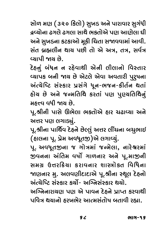સોળ મણ ( ૩૨૦ કિલો) સુખડ અને પારાવાર સુગંધી લ્લ્યોના ટગલે ટગલા સાથે ભક્તોએ પાગ આગેલા ધી અને સુખડના કટકાઓ મૂકી ચિતા સજાવવામાં આવી. સંત બ્રહ્મલીન થાય પછી તો એ અત્ર, તત્ર, સર્વત્ર લ્યાપી જાચ છે.

દેહનું બંધન ન રહેવાથી એની લીલાનો વિસ્તાર વ્યાપક બની જાય છે એટલે એવા અવતારી પુરૂષના અંત્યેષ્ટિ સંસ્કાર પ્રસંગે ધૂન-ભજન-કીર્તન થતાં **ઠોચ છે અને જન્મતિથિ કરતાં પણ પુણ્યતિથિનું** મઠત્ત્વ વધી જાચ છે.

પૂ.શ્રીની પાસે ઊભેલા ભક્તોએ હાર ચઢાવ્યા અને અત્તર પણ લગાડ્યું.

પૂ.શ્રીના પાર્થિવ દેહને છેલ્લું અત્તર લીંચના બચુભાઈ (હાલના પૂ. પ્રેમ અવધૂતજી)એ લગાવ્યું.

પૂ. અવધૂતજીના જ ગોત્રમાં જન્મેલા, નારેશ્વરમાં જીવનના અંતિમ વર્ષો ગાળનાર અને પૂ.માજીની સમગ ઉત્તરક્રિયા કરાવનાર શાસ્ત્રોકત વિધિના જાણનાર મુ. અલવણીદાદાએ પૂ.શ્રીના સ્થૂલ દેહનો અંત્યેષ્ટિ સંસ્કાર કર્યો- અગ્નિસંસ્કાર થયો.

અગ્નિનારાયણ પણ એ પાવન દેહને પ્રાપ્ત કરવાથી પવિત્ર થયાનો ઠરખભેર આત્મસંતોષ બતાવી રહ્યા.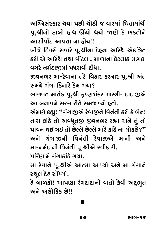અગ્નિસંસ્કાર થચા પછી થોડી જ વારમાં ચિતામાંથી પૂ.શ્રીનો ડાબો હાથ ઊંચો થયો જાણે કે ભકતોને આશીર્વાદ આપતા ના ઠોચ!!

બીજે દિવસે સવારે પૂ.શ્રીના દેહના અસ્થિ એકત્રિત કરી એ અસ્થિ તથા વીંટલા, માળાના કેટલાક મણકા વગરે નર્મદાજીમાં પધરાવી દીધા.

જીવનભર મા-રેવાના તટે વિહાર કરનાર પૂ.શ્રી અંત સમગ્રે ગંગા કિનારે કેમ ગચા?

ભાગવત માર્તંડ પૂ.શ્રી કૃષ્ણશંકર શાસ્ત્રી- દાદાજીએ આ બનાવને સરસ રીતે સમજાવ્યો હતો.

એમણે કહ્યુ: "ગંગાજીએ રેવાજીને વિનંતી કરી કે બેન! તારા કાંઠે તો અવધૂતજી જીવનભર રહ્યા અને તું તો પાવન થઈ ગઈ તો છેલ્લે છેલ્લે મારે કાંઠે ના મોકલે?" અને ગંગાજીની વિનંતી રેવાજીએ માની અને મા-નર્મદાની વિનંતી પૂ.શ્રીએ સ્વીકારી.

પરિણામે ગંગાકાંઠે ગચા.

મા-રેવાને પૂ.શ્રીએ આત્મા આપ્યો અને મા-ગંગાને સ્થૂલ દેહ સોંપ્યો.

હે બાળકો! આપણા રંગદાદાની વાતો કેવી અદ્ભુત અને અલોકિક છે!!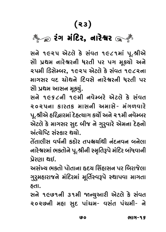# $\sum_{\alpha}$ ∑√" fi√wpO∑, …Û∑@U∑ ∑√" fi√wpO∑, …Û∑@U∑

Y…@ 1925 #@ŸOË@ x@O Y√\_E 1981fiÛ√ f\.C—#@ YÛ≠ fVZfi …Û∑@U∑…— A∑E— f∑ f" fi\®}Û@ #…@ માગસર વદ ચોથને દિવસે નારેશ્વરની ધરતી પર<br>એો પ્રથમ આસન મક્યં સોે પ્રથમ આસન મૂક્યું.<br>સને ૧૯૬૮ની ૧૯મી નવેમ્બરે એટલે કે સંવત

₹૦૨૫ના કારતક માસની અમાસે- મંગળવારે પૂ.શ્રીએ હરિદ્વારમાં દેહત્યાગ કર્યો અને ૨૧મી નવેમ્બર એટલે કે માગસર સુદ બીજ ને ગુર્ાવરે એમના દેહનો <u>અંત્ગ્રેષ્ટિ સંસ્કાર થયો.</u>

પુપાલીસ વર્ષથી કંઇોર પત્રજીર્ઘાદ્ય થયું વાલીસ ભ**ણતા** …………<br>નારેશ્વરમાં ભક્તોને પૂ.શ્રીની સ્મૃતિરૂપે મંદિર બાંધવાની<br>પેગગા શહ

અસંખ્ય ભક્તો પોતાના હૃદય સિંહાસન પર બિરાજેલા ગુરૂમહારાજને મંદિરમાં મૂર્તિસ્વરૂપે સ્થાપવા માગતા "⁄∑⁄fi˜Û∑ÛQÂ…@ fi√wpO∑fiÛ√ fi\wE™Õ\_Tf@ ÕZÛf\_Û fiÛ"EÛ

સને ૧૯૭૧ની ૩૧મી જાન્યુઆરી એટલે કે સંવત ل بي الدرد.<br>المسابق الدرد السلوب المسابق المسابق المسابق بي الدرد.<br>بي ك  $2^{\circ}$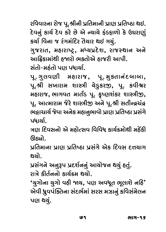રવિવારના રોજ પૂ.શ્રીની પ્રતિમાની પ્રાણ પ્રતિષ્ઠા થઈ.<br>દેવનું કાર્ચ દેવ કરે છે એ ન્યાચે ફંડફાળો કે ઉઘરાણું કર્યા વિના જ રંગમંદિર તેચાર થઈ ગયું. xO}Û™ w\_…Û QÂ ∑√"fi√wpO∑ E≠}Û∑ Z\$ "}⁄√. "⁄QÂ∑ÛE, fi˜Û∑Û‰§O, fi◊}fVp@OB, ∑ÛQÂÕZÛ… #…@ આર્ટેશનના ૯ નેટા બેહામ ગુજરાત માત્રા.<br>સંતો-મહંતો પણ પધાર્થા.<br>પ્રાચાલવાગી મામાગાજ માત્રા મકલાનંક

પૂ. ગુલવણી મહારાજ, પૂ. મુકતાનંદબાબા,<br>પૂ.શ્રી સખારામ શાસ્ત્રી ચેડુકરજી, પૂ. કવીશ્વર  $\theta$  aliable, where  $\theta$  and  $\theta$  is  $\theta$  and  $\theta$  and  $\theta$  and  $\theta$  and  $\theta$ પૂ. આત્મારામ જેરે શાસ્ત્રીજી અને પૂ.શ્રી સતીન્દ્રચંદ્ર f\. #Û'fiÛ∑Ûfi QÂ@∑@ BÛm—u #…@ f\.C— YE—±ß{√ß  $\overline{\mathcal{S}}$ ыйы $\overline{\mathcal{S}}$ પધાર્યા.

ત્રણ દિવસનો એ મહોત્સવ વિવિધ કાર્ચક્રમોથી મહેંકી<br>ઊહ્યો.

પ્રતિમાના પ્રાણ પ્રતિષ્ઠા પ્રસંગે એક દિવસ દત્તચાગ film for food for a distribution for a distribution for a distribution for  $\theta$  points.

પ્રસંગને અનુરૂપ પ્રદર્શનનું આયોજન થયું હતું.

ગઝે ફીર્તુનનો કાર્ચક્રમ થયો.

∑ÛL@ xOflE™……Û@ xOÛ}™∏Ofi Z}Û@. **'**}⁄"Û@…Û }⁄"Û@ \_˜— }, fo #\_A\E I\ËÛB@ …w˜**'** એવી ધ્રુવપંક્તિના સંદર્ભમાં સરસ મઝાનું કવિસંમેલન પણ થયું.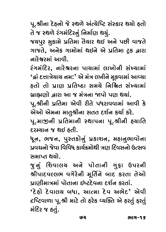પૂ.શ્રીના દેહનો જે સ્થળે અંત્યેષ્ટિ સંસ્કાર થયો હતો<br>તે જ સ્થળે રંગમંદિરનું નિર્માણ થયું.

જચપુર મુકામે પ્રતિમા તેચાર થઈ અને પછી વાજતે ગાજતે, અનેક ગામોમાં થઇને એ પ્રતિમા ટ્રક *દ્વ*ારા "ÛQÂE@, #…@xO "ÛfiÛ@fiÛ√ Z\$…@ #@ fVwEfiÛ Ÿ§OxO ›Û∑Û

રંગમંદિર, નારેશ્વરના પાચામાં લાખોની સંખ્યામાં <sup>'</sup>બ્રં દત્તાત્રેયાય નમ:' એ મંત્ર લખીને મૂકવામાં આવ્યા<br>ક્રતો તો પ્રાણ પ્રતિષ્ઠા સમયે નિશ્રિત સંખ્યામાં હતો તો પ્રાણ પ્રતિષ્ઠા સમયે નિશ્ચિત સંખ્યામાં<br>બાહ્યણો હારા આ જ મંત્રના જાપો પણ થયાં

µVÛÔoÛ@ ›Û∑Û #Û QÂ fi√L…Û fÛ@ fo Z}Û√. f\.C—…— fVwEfiÛ #@\_— ∑—E@ fA∑Û\_\_ÛfiÛ√ #Û\_— x@O

એઓ એમના માતુશ્રીના સતત દર્શન કર્યા કરે.<br>પૂ.માજીની પ્રતિમાની સ્થાપના પૂ.શ્રીની હચાતિ દરમ્યાન જ થઈ હતી.

,<br>ધૂન, ભજન, પુસ્તકોનું પ્રકાશન, મહાનુભાવોના<br>પવચનોજેવા વિવિધ કાર્ચક્રમેથી ત્રાગ દિવસનો ઉત્સવ પ્રવચનો જેવા વિવિધ કાર્ચક્રમોથી ત્રણ દિવસનો ઉત્સવ<br>સમાપ્ત થચો.

જુનું શિવાલચ અને પોતાની ગુફા ઉપરની શ્રીપાદવલ્લભ વગેરેની મૂર્તિને બાદ કરતા તેઓ  $\overline{C}$ ણગીમાત્રમાં પોતાના ઈષ્ટદેવના દર્શન કરતાં.

*∙*<br>'દેહો દેવાલચ બધા, આત્મા દેવ અભેદ' એવી<br><ષ્ટિવાળા ૫ શ્રી માટે તો કરેક વ્યક્તિ એ કરતું કરતું  $\frac{1}{2}$  $\frac{1}{2}$  $\frac{1}{2}$  $\ddot{\phantom{a}}$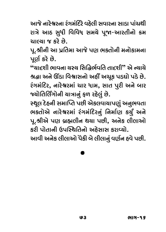આજે નારેશ્વરના રંગમંદિરે વઠેલી સવારના સાડા પાંચથી રાત્રે આઠ સુધી વિવિધ સમચે પૂજા-આરતીનો ક્રમ ચાલ્યા જ કરે છે.

પૂ.શ્રીની આ પ્રતિમા આજે પણ ભકતોની મનોકામના પૂર્ણ કરે છે.

"ચાદશી ભાવના ચસ્ચ સિદ્ધિર્ભવતિ તાદશી" એ ન્યાચે શ્રદ્ધા અને ઊંડા વિશ્વાસનો અહીં અચૂક પડઘો પડે છે. રંગમંદિર, નારેશ્વરમાં ચાર ધામ, સાત પુરી અને બાર જ્યોતિર્લિંગોની ચાત્રાનું ફળ રહેલું છે.

સ્થૂલ દેહની સમાપ્તિ પછી એકલવાચાપણું અનુભવતા ભકતોએ નારેશ્વરમાં રંગમંદિરનું નિર્માણ કર્યું અને પૂ.શ્રીએ પણ બ્રહ્મલીન થયા પછી, અનેક લીલાઓ કરી પોતાની ઉપસ્થિતિનો અઠેસાસ કરાવ્યો.

આવી અનેક લીલાઓ પૈકી બે લીલાનું વર્ણન હવે પછી.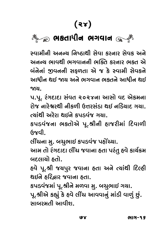# $\sum_{\alpha}$ ભકતાધીન ભગવા<mark>ન</mark>

અનન્ય ભાવથી ભગવાનની ભક્તિ કરનાર ભક્ત એ બંનેનાં જીવનની સકળતા એ જ કે સ્વામી સેવકને …<br>આધીન થઈ જાય અને ભગવાન ભક્તને આધીન થઈ<br>જગ

૫.પૂ. રંગદાદા સંવત ૨૦૨૪ના આસો વદ એકમના ે)& વાર્ટુક્ષર્ટી થીકળી ઉત્તરસંદા ઘઈ વર્ડિયાદ ગયા.  $\overline{\mathcal{C}}$ ચાંથી અરેરા થઈને કપડવંજ ગચા.

કપડવંજના ભક્તોએ પૂ.શ્રીની હાજરીમાં દિવાળી  $\frac{1}{\alpha}$  is the compact of the compact of the compact of the compact of the compact of the compact of the compact of the compact of the compact of the compact of the compact of the compact of the compact of the compact

લીંચના મુ. બચુભાઈ કપડવંજ પહોંચ્યા.

આમ તો રંગદાદા લીંચ જવાના હતા પરંતુ હવે કાર્ચક્રમ બદલાચો હતો.

હવે પૂ.શ્રી જચપુર જવાના હતા અને ત્ચાંથી દિલ્હી થઈને હરિદ્રાર જવાના હતા.

કપડવંજમાં પૂ.શ્રીને મળવા મુ. બચુભાઈ ગયા.

પૂ.શ્રીએ કહ્યું કે હવે લીંચ આવવાનું માંડી વાળું છું. સાબરમતી આવીશ.

υγ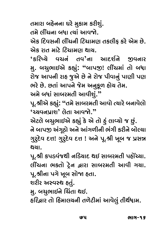્<br>તમે લીંચના બધા ત્યાં આવજો.<br>એક દિવસની લીંગની ?િગામણ ત

એક દિવસની લીંચની ટિચામણ તકલીફ કરે એમ છે.<br>એક રાત માટે ટિચામણ થાચ.

્<br>કરિષ્ચે વચનં તવ'ના આદર્શને જીવનાર<br>'કરિષ્ચે વચનં લાગજા લીંગમાં તો લધા મુ. બચુભાઈએ કહ્યું: "બાપજી! લીંચમાં તો બ<mark>ધા</mark><br>રોજ આપની રાહ જૂએ છે ને રોજ પીવાનું પાણી પણ ભરે છે. છતાં આપને જેમ અનુકૂળ હોચ તેમ.

I∑@ ©Â@. ©ÂEÛ√ #Ûf…@ QÂ@fi #…⁄x\O¥ ˜Û@} E@fi. #fi@ µAÛ√ YÛµ∑fiE— #Û\_—B⁄√.**"** પૂ.શ્રીએ કહ્યું: "તમે સાબરમતી આવો ત્યારે બનાવેલો

<mark>'</mark>ચ્ચવનપ્રાશ' લેતા આવજો."<br>એટલે બચુભાઈએ કહ્યું કે એ તો હં લાવ્યો જ છું.

<u>ને બાપજી અંગૂઠો અને આંગળીની ભંગી કરીને બોલ્ચા</u> …@ µÛfu #√"\sOÛ@ #…@ #Û√"¥—…— I√"— xO∑—…@ µÛ@º}Û √∕∑∕po: "⁄∑∕po: "⁄∑∕po: "∕∑∕<br>קונן

પૂ.શ્રી કપડવંજથી નડિચાદ થઈ સાબરમતી પહોંચ્યા. fal. 2011 Read in Lings & Rivers & Rigins & Rigins & પૂ.શ્રીના પગે ખૂબ સોજા હતા.

શરીર અસ્વસ્થ હતું.

મુ. બચુભાઈને ચિંતા થઈ.

fi⁄. µ{⁄IÛ\$…@ w{√EÛ Z\$. ˜w∑›Û∑ EÛ@ w˜fiÛË}…— E¥@ŸO—fiÛ√ #Û\_@Ë⁄√ E—Z™AÛfi.

เงน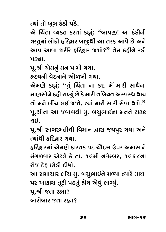.<br>એ ચિંતા વ્યકત કરતાં કહ્યું**: "બાપજી! આ ઠંડીની**<br>ઋતમાં લોકો ફૂડિ<sub>લ</sub>ા બાજશી આ તરફ આવે છે અને ¨OE⁄fiÛ√ ËÛ@xOÛ@ ˜w∑›Û∑ µÛQ⁄ÂZ— #Û E∑l #Û\_@ ©Â@ #…@ #Ûf #Û\_Û B∑—∑@ ˜w∑›Û∑ QÂBÛ@?**"** E@fi xO˜—…@ ∑¤O—

પૂ.શ્રી એમનું મન પામી ગયા.

હૃદચની વેદનાને ઓળખી ગચા.

ΩpO}…— \_@pO…Û…@ #Û@¥«— "}Û. #@fio@ xO·⁄√: **"**E⁄√ w{√EÛ …Û xO∑. fi@> fiÛ∑— YÛZ@…Û ્તો મને લીંચ લઈ જજો. ત્યાં મારી સારી સેવા થશે."<br>પ શ્રીના આ જવાલશી મું લગભાઈના મનને ટાટક પૂ.શ્રીના આ જવાબથી મુ. બચુભાઈના મનને ટાઢક<br>શહ

પૂ.શ્રી સાબરમતીથી વિમાન દ્વારા જચપુર ગચા અને  $\epsilon$ સાંથી કરિહાર ગચા.

ઈટ્રિહારમાં એમણે કારતક વદ ચોદસ ઉપર અમાસ ને મંગળવાર એટલે કે તા. ૧૯મી નવેમ્બર, ૧૯૬૮ના ,<br>રોજ દેહ છોડી દીધો.<br>રોજ દેહ છોડી દીધો.

આ સમાચાર લીંચ મુ. બચુભાઇને મળ્યા ત્યારે માથા<br>પર આકાશ તૂટી પડ્યું હોચ એવું લાગ્યું.

પૂ.શ્રી જતા રહ્યા?

બારોબાર જતા રહ્યા? µÛ∑Û@µÛ∑ QÂEÛ ∑·Û?

US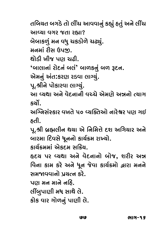તબિચત બગડે તો લીંચ આવવાનું કહ્યું હતું અને લીંચ<br>આવ્યા વગર જતા રહ્યા?

#Û[}Û \_"∑ QÂEÛ ∑·Û? µ@µÛxO¥⁄√ fi… \_A⁄ {xO¤OÛ@¥@ {ı⁄√.

મનમાં રીસ ઉપજી.<br>શોડી ખીજ પણ ચઢી.

,<br>આલાનાં રોદનં બલં<sup>ን</sup> બાળકનું બળ રૂદન.<br>'

એમનું અંત:કરણ રડવા લાગ્યું.<br>પૂ.શ્રીને પોકારવા લાગ્યું.

આ વ્યથા અને વેદનાની વચ્ચે એમણે અન્નનો ત્યાગ  $\tilde{Z}$ 

અગ્નિસંસ્કાર વખતે ૫૦ વ્યક્તિઓ નારેશ્વર પણ ગઈ  $\mathfrak{so}$ 

પૂ.શ્રી બ્રહ્મલીન થયા એ નિમિત્તે દશ અગિયાર અને ્ર માયદેકના આ જેવા આ આવેલા છે.<br>બારમા દિવસે ધૂનનો કાર્ચક્રમ રાખ્યો.<br>કાર્ચક્રમમાં એકદમ સક્રિય

હૃદય પર વ્યથા અને વેદનાનો બોજ, શરીર અ**ત્ર** —<br>વિના કામ કરે અને ધૂન જેવા કાર્ચક્રમો દ્વારા મનને<br>સમજવવાનો પચત્ન કરે

પાગ મન માને નહિ.

ત<br>લીંબુપાણી મધ સાથે લે.<br>કોક વાર ગોળનું માણી

કોક વાર ગોળનું પાણી લે.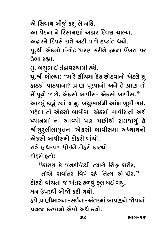એ સિવાચ બીજું કશું લે નહિ.<br>આ વેદના ને રિસામાગાં અઢાર દિવસ ચાલ્યા.

<u>અઢારમે દિવસે રાત્રે અઢી વાગે દૃષ્ટાંત થયો.</u>

ા છે.<br>પૂ.શ્રી એકલો લંગોટ ધારણ કરીને રૂમના ઉંબરા પર<br>ઉભા રહ્યા

મુ. બચુભાઈ તંદ્રાવસ્થામાં હશે.

ુ<br>પૂ.શ્રી બોલ્યા: "મારે લીંચમાં દેહ છોડવાનો એટલે શું<br>હાડકાં પાડવાના? પાણ પરવાનો અને તે પાણ તો ˜Û¤OxOÛ√ fÛ¤O\_Û…Û? fVÛo f\∑\_Û…Û@ #…@ E@ fVÛo EÛ@ fi@> f\}Û@™ QÂ ©Â@. #@xOYÛ@ µÛ\_—Y- #@xOYÛ@ µÛ\_—Y.**"** આટલું કહ્યું ત્યાં જ મુ. બચુભાઇની આંખ ખૂલી ગઇ.<br>પઠેલા તો એકસો બાવીસ- એકસો બાવીસનો અર્થ ृ<br>ह्याबभा बा આવ્યો પણ પછીથી સમજાયું કે<br>શ્વગ્ર્ગ્લીલામતના એકસો લાલીસમા અધ્યાયનો श्रीગुરુલીલામૃતના એકસો બાવીસમા અધ્યાયનો<br>એકસો બાવીસમો દોઠરો વાંચો.

.<br>રાત્રે હાથ-પગ ધોઈને દોહરો કાઢ્યો.<br>દોઠગે ઠતો

pOÛ@˜∑Û@ ˜EÛ@:  **"**xOÛ∑o x@O QÂ…'w‰OZ— '}Û"@ wYW B∑—∑,

 EÛ@#@ Y\_ÛqE∑ w\_∆@ ∑˜@ w…'} #@ A—∑.**"** મન ઉપરથી બોજો ઠટી ગયો. દોહરો વાંચતા જ અંતર હળવું ફૂલ થઇ ગચું.

હ્યે પ્રાણીમાત્રના-સર્વના-અંતરમાં બાપજીને જોવાનો પચત્ન કરવાનો એવો અર્થ કર્યો.  $\frac{1}{\sqrt{2}}$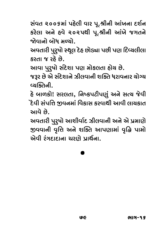સંવત ૨૦૦૬માં પહેલી વાર પૂ.શ્રીની આંખના દર્શન કરેલા અને હવે ૨૦૨૫થી પૂ.શ્રીની આંખે જગતને જોવાનો બોધ મળ્યો.

અવતારી પુરૂષો સ્થૂલ દેહ છોડ્યા પછી પણ દિવ્યલીલા કરતા જ રહે છે.

આવા પુરુષો સંદેશા પણ મોકલતા હોચ છે.

જરૂર છે એ સંદેશાને ઝીલવાની શક્તિ ધરાવનાર ચોગ્ચ વ્યક્તિની.

હે બાળકો! સરલતા, નિષ્કપટીપણું અને સત્ય જેવી ેદેવી સંપત્તિ જીવનમાં વિકાસ કરવાથી આવી લાચકાત આવે છે.

અવતારી પુરૂષો આશીર્વાદ ઝીલવાની અને એ પ્રમાણે જીવવાની વૃત્તિ અને શક્તિ આપણામાં વૃદ્ધિ પામો એવી રંગદાદાના ચરાગે પાર્શના.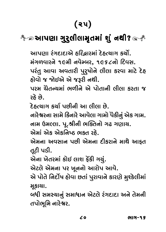### \*∞આપણા ગુરૂલીલામૃતમાં શું નથી? ્\*

આપણા રંગદાદાએ ઠરિહ્નારમાં દેઠત્યાગ કર્યો. મંગળવારને ૧૯મી નવેમ્બર, ૧૯૬૮નો દિવસ. પરંતુ આવા અવતારી પુરૂષોને લીલા કરવા માટે દેહ હોવો જ જોઇએ એ જરૂરી નથી.

પરમ ચેતન્ચમાં ભળીને એ પોતાની લીલા કરતા જ ્રહ્ય ત્વર

દેઠત્યાગ કર્યા પછીની આ લીલા છે.

નારેશ્વરના સામે કિનારે આવેલા ગામો પૈકીનું એક ગામ. નામ ઉમલ્લા. પૂ.શ્રીની ભક્તિનો ગઢ ગણાય.

એમાં એક એકનિષ્ઠ ભક્ત રહે.

એમના અવસાન પછી એમના દીકરાને માથે આકત તૂટી પડી.

એના ખેતરમાં કોઈ લાશ ફેંકી ગયું.

એટલે એમના પર ખૂનનો આરોપ આવે.

એ પોતે નિર્દોષ હોવા છતાં પુરાવાને કારણે મુશ્કેલીમાં મુકાચા.

બધી સમસ્યાનું સમાધાન એટલે રંગદાદા અને તેમની તપોભૂમિ નારેશ્વર.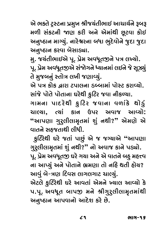એ ભક્તે ટ્રસ્ટના પ્રમુખ શ્રીજચંતીભાઈ આચાર્ચને રૂબરૂ<br>મળી સંકટની જાણ કરી અને એમાંથી છૂટવા કોઈ fi¥— Y√xOŸO…— o xO∑— #…@ #@fiÛ√Z— ©\ŸO\_Û xOÛ@\$ #…⁄vOÛ… fiÛa}⁄√. …Û∑@U∑…Û µAÛ I⁄p@O\_Û@…@ Q⁄ÂpOÛ Q⁄ÂpOÛ

્<br>મુ. જચંતીભાઈએ પૂ. પ્રેમ અવધૂતજીને પત્ર લખ્યો.<br>૫. પેમ અવધતજીએ સંજેગને ધ્યાનમાં લઇને જે સર્ પૂ. પ્રેમ અવધૂતજીએ સંજોગને ધ્યાનમાં લઈને જે સૂઝ્યું<br>તે મુજબનું સ્તોત્ર લખી જણાવ્યું.

એ પત્ર કોક દ્વારા ટપાલના ડબ્બામાં પોસ્ટ કરાવ્યો. સાંજે પોતે પોતાના ઘરેથી ફુટિર જવા નીકળ્યા.

ગામના પાદરેથી ફુટિર જવાના વળાંકે થોડું ચાલ્યા, ત્યાં કાન ઉપર અવાજ આવ્યો: <sup>"</sup>આપણા ગુરુલીલામૃતમાં શું નથી?" એમણે એ<br>વાતને સહજતાશી લીધી વાતને સહજતાથી લીધી.

્ક**્રિટેથી ઘરે જતાં પાછું એ જ જગ્યાએ "આપ**ણા ગુરૂલીલામૃતમાં શું નથી?" નો અવાજ કાને પડ્યો. પૂ. પ્રેમ અવધૂતજી ઘરે ગયા અને એ વાતને બહુ મહત્ત્વ<br>ના આપ્યું અને પોતાને ભ્રમણા તો નહિ થતી હોય? આવું બે-ત્રણ દિવસ લાગલગાટ ચાલ્યું. એટલે ફુટિરેથી ઘરે આવતાં એમને ખ્યાલ આવ્યો કે .<br>પ.પૂ. અવધૂત બાપજી મને શ્રીગુરુલીલામૃતમાંથી<br>અનુષ્ઠાન આપવાનો આદેશ કરે છે અનુષ્ઠાન આપવાનો આદેશ કરે છે.

ረ ባ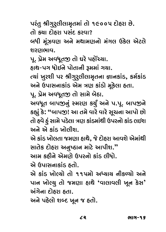પરંતુ શ્રીગુરુલીલામૃતમાં તો ૧૯૦૦૫ દોહરા છે.<br>તો કચા દોઠરા પસંદ કરવા?

… — … …… — — ……<br>બધી મૂંઝવણ અને મથામણનો મંગલ ઉકેલ એટલે<br>શરાગભાવ

પૂ. પ્રેમ અવધૂતજી તો ઘરે પહોંચ્યા.<br>કાશ-પગ ધોકલિ પોતાની રમમાં ગય

હાથ-પગ ધોઈને પોતાની રૂમમાં ગચા.<br>ત્યાં ખુરશી પર શ્રીગુર્¢તીલામુતના જ્ઞાનકાંડ, કર્મકાંડ અને ઉપાસનાકાંડ એમ ત્રણ કાંડો મૂકેલા હતા.

#…@ &fÛY…ÛxOÛ√¤O #@fi Lo xOÛ√¤OÛ@ fi\x@OËÛ ˜EÛ. f\. fV@fi #\_A\Eu EÛ@ YÛfi@ µ@sOÛ.

અવધૂત બાપજીનું સ્મરણ કર્યું અને પ.પૂ. બાપજીને કહ્યું કે**: "બાપજી! આ તમે વારે વારે સૂચના આપો છો**<br>તો હવે <u>હ</u>ું સામે પડેલા ત્રણ કાંડમાંથી ઉપરનો કાંડ લઈશ મળે એ ઘંટ ખાવી**ગ** 

એ કાંડ ખોલતા જમણા હાથે, જે દોહરા આવશે એમાંથી .<br>સાતેક દોહરા અનુષ્ઠાન માટે આપીશ."<br>આમ કઠીને એમાગે ઉપરનો કાંડ લીધો

આમ કઠીને એમણે ઉપરનો કાંડ લીધો.<br>એ ઉપાસનાકાંડ હ્વો

્ર સ્થાન માન્ય સામ<br>એ કાંડ ખોલ્ચો તો ૧૧૫મો અધ્યાય નીકળ્યો અને<br>પાન ખોલ્ચ તો જમણા ઠાશે 'વાલાવલી ખૂન કેસ' પાન ખોલ્યુ તો જમણા હાથે 'વાલાવલી ખૂન કેસ'<br>અંગેના દોઠરા ઠતા.

⊬<br>આ સ્વાહ બે ફોર્મ ક્યા  $\sim$  for  $\sim$   $\sim$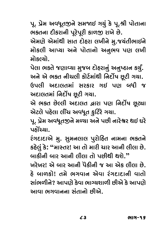પૂ. પ્રેમ અવધૂતજીને સમજાઈ ગયું કે પૂ.શ્રી પોતાના<br>ભકતના દીકરાની પૂરેપૂરી કાળજી રાખે છે.

એમણે એમાંથી સાત દોહરા લખીને મુ.જચંતીભાઈને #@fio@ #@fiÛ√Z— YÛE pOÛ@˜∑Û Ë«—…@ fi⁄.QÂ}√E—IÛ\$…@  $\frac{1}{2}$ 

પેલા ભકતે જણાવ્યા મુજબ દોહરાનું અનુષ્ઠાન કર્યું. અને એ ભક્ત નીચલી કોર્ટમાંથી નિર્દોષ છૂટી ગયા.

્રિયલી અદાલતમાં સરકાર ગઈ પણ બધી જ<br>ઉપલી અદાલતમાં સરકાર ગઈ પણ બધી જ<br>અદાલતમાં નિર્દોષ છઈ ગયા

અદાલતમાં નિર્દોષ છૂટી ગચા.<br>એ ભક્ત છેલ્લી અદાલત દ્વારા પણ નિર્દોષ છૂટ્યા .<br>એટલે પહેલા લીંચ અવધૂત કુટિરે ગચા.<br>આ પેસ અવધતજને સળ્યા અને પછી નારેશ્વર શહુ છે.

પૂ. પ્રેમ અવધૂતજીને મળ્યા અને પછી નારેશ્વર થઈ ઘરે<br>પહોંચ્યા.

રંગદાદાએ મુ. સુમનલાલ પુરોહિત નામના ભકતને <sub>ક</sub>હેલું કે: "માસ્તર! આ તો મારી ચાર આની લીલા છે.<br>હાર્દીને હાર આની લીલા તો પછીથી શશે "

બાકીની બાર આની લીલા તો પછીથી થશે."<br>ખરેખર! એ બાર આની પૈકીની જ આ એક લીલા છે. ે બાળકો! તમે ભગવાન એવા રંગદાદાની વાતો સાંભળીને? આપણે કેવા ભાગ્ચશાળી છીએ કે આપણે આવા ભગવાનના સંતાનો છીએ.

 $\mathbf{Z}$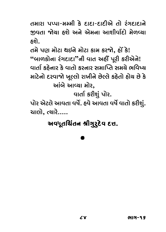તમારા પપ્પા-મમ્મી કે દાદા-દાદીએ તો રંગદાદાને <u>જીવતા જોચા હશે અને એમના આશીર્વાદો મેળવ્યા</u> u\_EÛ @}Û ˜B@ #…@ #@fi…Û #ÛB—\_Û™pOÛ@ fi@¥[}Û

તમે પણ મોટા થઈને મોટા કામ કરજો, હોં કે! .<br>"બાળકોના રંગદાદા"ની વાત અહીં પૂરી કરીએને!<br>વાર્તા કઠેનાર કે વાતો કરનાર સમાપ્તિ સમયે ભવિષ માટેનો દરવાજો ખૂલ્લો રાખીને છેલ્લે કહેતો હોચ છે કે આંબે આવ્યા મોર.

વાર્તા કરીશું પોર.

પોર એટલે આવતા વર્ષે. હવે આવતા વર્ષે વાતો કરીશું. ચાલો, ત્યારે…..  $(1, 1, 0)$ 

### અવધૂતચિંતન શ્રીગુ્ર્દેવ દત્ત.

# .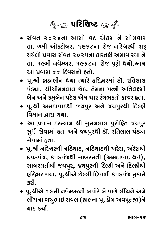

- તા. છમી ઓકટોબર, ૧૯૬૮ના રોજ નારેશ્વરથી શરૂ <u>થચેલો પ્રવાસ સંવત ૨૦૨૫ના કારતકી અમાવાસ્ચા ને</u> તા. ૧૯મી નવેમ્બર, ૧૯૬૮ના રોજ પૂરો થયો.આમ <u>આ પવાસ ૪૪ દિવસનો હતો.</u>
- પૂ.શ્રી બ્રહ્મલીન થયા ત્યારે હરિદ્વારમાં ડૉ. રતિલાલ પંડ્યા, શ્રીચીમનલાલ શેઠ, તેમના પત્ની અતિલક્ષ્મી બેન અને કમુબેન પટેલ એમ ચાર રંગભકતો હાજર હતા.
- પૂ.શ્રી અમદાવાદથી જચપુર અને જચપુરથી દિલ્હી <u>વિમાન દ્ભારા ગયા.</u>
- આ પ્રવાસ દરમ્યાન શ્રી સુમનલાલ પુરોહિત જચપુર  $\sim$  30  $\,$  2005 with the system of gance.  $\,$  30  $\,$  30  $\,$  30  $\,$  30  $\,$  30  $\,$  30  $\,$  30  $\,$  30  $\,$  30  $\,$  30  $\,$  30  $\,$  30  $\,$  30  $\,$  30  $\,$  30  $\,$  30  $\,$  30  $\,$  30  $\,$  30  $\,$  30  $\,$  30  $\,$  30
- પૂ.શ્રી નારેશ્વરથી નડિયાદ, નડિયાદથી અરેરા, અરેરાથી કપડવંજ, કપડવંજથી સાબરમતી (અમદાવાદ થઈ), સાબરમતીથી જચપુર, જચપુરથી દિલ્હી અને દિલ્હીથી હરિદ્વાર ગયા. પૂ.શ્રીએ છેલ્લી દિવાળી કપડવંજ મુકામે ∽ુખ્ખ આપ⊙ૂ ખેડવા માટે મેળવે ખેડવા બુધ્ધને<br>કરી
- પૂ.શ્રીએ ૧૯મી નવેમ્બરની બપોરે બે વાગે લીંચને અને . કિ. કાર્ટના સ્ટાન કરવા આ પ્રદર્શન કરવા માટે કોને આ કાર્ય એને<br>બીંચના બચુભાઈ રાવલ (હાલના પૂ. પ્રેમ અવધૂતજી)ને<br>ચાદ કર્ચા }ÛpO xO}Û™.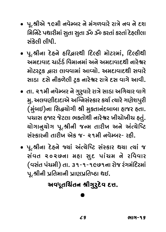- . પૂ.શ્રીએ ૧૯મી નવેમ્બર ને મંગળવારે રાત્રે નવ ને દશ<br>િકોઇટ પથારીમાં સુતા સુતા ૐ ૐ કરતાં કરતાં દેહલીલા wfiw…Ÿ@O fZÛ∑—fiÛ√ Y⁄EÛ Y⁄EÛ ¿ ¿ xO∑EÛ√ xO∑EÛ√ p@O˜Ë—ËÛ Y√x@OË— Ë—A—.
- العبية પૂ.શ્રીના દેહને હરિદ્વારથી દિલ્હી મોટરમાં, દિલ્હીથી<br>અમદાવાદ ચાર્ટર્ડ વિમાનમાં અને અમદાવાદથી નારેશ્વર મોટરટ્રક દ્વારા લાવવામાં આવ્યો. અમદાવાદથી સવારે સાડા દસે નીકળેલી ટ્રક નારેશ્વર રાત્રે દસ વાગે આવી.
- તા. ૨૧મી નવેમ્બર ને ગુરૂવારે રાત્રે સાડા અગિયાર વાગે મુ. અલવણીદાદાએ અગ્નિસંસ્કાર કર્યા ત્યારે ગણેશપુરી (મુંબઈ)ના સિદ્ધચોગી શ્રી મુકતાનંદબાબા હાજર હતા. પચાસ હજાર જેટલા ભકતોથી નારેશ્વર ખીચોખીચ હતું. ચોગાનુચોગ પૂ.શ્રીની જન્મ તારીખ અને અંત્યેષ્ટિ સંસ્કારની તારીખ એક જ- ૨૧મી નવેમ્બર- રહી.
- પૂ.શ્રીના દેહને જ્યાં અંત્યેષ્ટિ સંસ્કાર થયા ત્યાં જ . . f\.C— with wo coven it wouch that we have (વસંત પંચમી) તા. ૩૧-૧-૧૯૭૧ના રોજ રંગમંદિરમાં પૂ.શ્રીની પ્રતિમાની પ્રાણપ્રતિષ્ઠા થઈ.

### $\sim$   $\sim$   $\sim$   $\sim$   $\sim$   $\sim$   $\sim$ અવધૂતચિંતન શ્રીગુ**રુદેવ દત્ત.**<br>—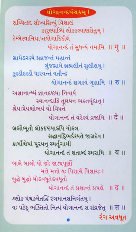કારણ્યાબ્ધિં લોકકલ્યાણસેતમ I ટેમ્બેસ્વામિપ્રાપ્તયોગાદિદીક્ષં योगानन्दं तं सुधन्यं नभाभि ॥ ग] ॥ ગ્રામેડરણ્યે પ્રવ્રજન્તં મહાન્તં ગુંજગ્રામે બ્રહ્મલીનં સુલીલમ્ । કુણ્ડીદર્ણ્ડૌ ધારયન્તં યતીન્દ્રં योगानन्दं ज्ञगण्यं गुणामि ॥ रु ॥ અજ્ઞાનાન્ધ્યં જ્ઞાનદેષ્ટયા નિવાર્ય સ્વાનન્દાર્લિ તુન્નયન ભક્તવુંદાનુ । શ્રેય:પ્રેયશ્રોભયં યો વિધત્તે યોગાનન્દં તં વરેણ્યં વ્રજામિ ॥ दे ॥ બ્રહ્મૌભૂતૌ લોકદેષ્ટયાકપિ યોકત્ર શ્રદ્ધાવદિભર્દશ્યતે જાગ્રદેવ I કામાઁશ્રેષાં પુરયનુ સ્મર્તુગામી योगानन्हं तं शताक्हं स्मराभि ॥ व ॥ બાલે બાલો યો જડે જાડ્યપર્ણો મત્તે મત્તો યઃ પિશાચે પિશાચઃ । બુદ્ધ બુદ્ધો યોડવધુતેડવધુતો યોગાનન્દ તં પ્રશાન્તં પ્રપદ્ય । । द ॥ શ્લોક પંચક્રમેતદ્ધિ રંગમાનસનિર્ગતમ્ I यः पठेद्द ભક્તિતો નિત્યં યોગાનન્દં સ સંવ્રજેત**ા। त्त**ा। રંગ અવધત

યોગાનન્દપંચકમ ।

સચ્ચિત્કંદં સૌખ્યસિન્ધું વિશાલં